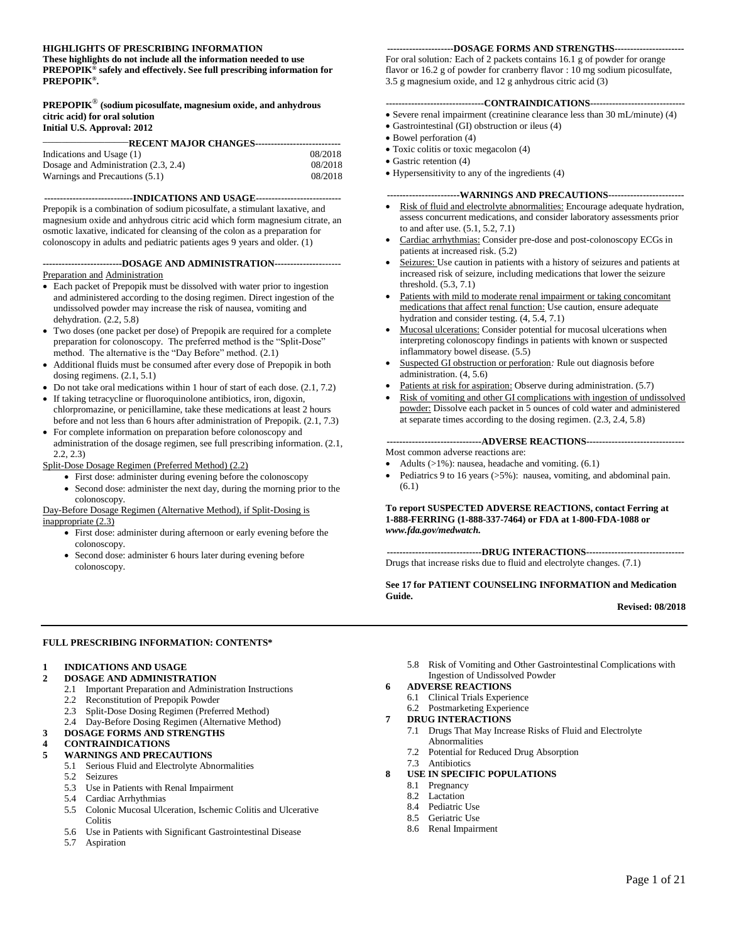#### **HIGHLIGHTS OF PRESCRIBING INFORMATION**

**These highlights do not include all the information needed to use PREPOPIK® safely and effectively. See full prescribing information for PREPOPIK® .** 

## **PREPOPIK**® **(sodium picosulfate, magnesium oxide, and anhydrous citric acid) for oral solution**

#### **Initial U.S. Approval: 2012**

| —RECENT MAJOR CHANGES-------------------------- |         |  |  |
|-------------------------------------------------|---------|--|--|
| Indications and Usage (1)                       | 08/2018 |  |  |
| Dosage and Administration (2.3, 2.4)            | 08/2018 |  |  |
| Warnings and Precautions (5.1)                  | 08/2018 |  |  |

#### **----------------------------INDICATIONS AND USAGE---------------------------**

Prepopik is a combination of sodium picosulfate, a stimulant laxative, and magnesium oxide and anhydrous citric acid which form magnesium citrate, an osmotic laxative, indicated for cleansing of the colon as a preparation for colonoscopy in adults and pediatric patients ages 9 years and older. (1)

#### **-------------------------DOSAGE AND ADMINISTRATION---------------**------ Preparation and Administration

- Each packet of Prepopik must be dissolved with water prior to ingestion and administered according to the dosing regimen. Direct ingestion of the undissolved powder may increase the risk of nausea, vomiting and dehydration. (2.2, 5.8)
- Two doses (one packet per dose) of Prepopik are required for a complete preparation for colonoscopy. The preferred method is the "Split-Dose" method. The alternative is the "Day Before" method. (2.1)
- Additional fluids must be consumed after every dose of Prepopik in both dosing regimens. (2.1, 5.1)
- Do not take oral medications within 1 hour of start of each dose.  $(2.1, 7.2)$ If taking tetracycline or fluoroquinolone antibiotics, iron, digoxin,
- chlorpromazine, or penicillamine, take these medications at least 2 hours before and not less than 6 hours after administration of Prepopik. (2.1, 7.3)
- For complete information on preparation before colonoscopy and administration of the dosage regimen, see full prescribing information. (2.1, 2.2, 2.3)

#### Split-Dose Dosage Regimen (Preferred Method) (2.2)

- First dose: administer during evening before the colonoscopy
- Second dose: administer the next day, during the morning prior to the colonoscopy.

#### Day-Before Dosage Regimen (Alternative Method), if Split-Dosing is inappropriate (2.3)

- First dose: administer during afternoon or early evening before the colonoscopy.
- Second dose: administer 6 hours later during evening before colonoscopy.

#### **---------------------DOSAGE FORMS AND STRENGTHS----------------------**

For oral solution*:* Each of 2 packets contains 16.1 g of powder for orange flavor or 16.2 g of powder for cranberry flavor : 10 mg sodium picosulfate, 3.5 g magnesium oxide, and 12 g anhydrous citric acid (3)

#### **-------------------------------CONTRAINDICATIONS------------------------------**

- Severe renal impairment (creatinine clearance less than 30 mL/minute) (4)
- Gastrointestinal (GI) obstruction or ileus (4)
- Bowel perforation (4)
- Toxic colitis or toxic megacolon (4)
- Gastric retention (4)
- Hypersensitivity to any of the ingredients (4)

#### **-----------------------WARNINGS AND PRECAUTIONS------------------------**

- Risk of fluid and electrolyte abnormalities: Encourage adequate hydration, assess concurrent medications, and consider laboratory assessments prior to and after use. (5.1, 5.2, 7.1)
- Cardiac arrhythmias: Consider pre-dose and post-colonoscopy ECGs in patients at increased risk. (5.2)
- Seizures: Use caution in patients with a history of seizures and patients at increased risk of seizure, including medications that lower the seizure threshold. (5.3, 7.1)
- Patients with mild to moderate renal impairment or taking concomitant medications that affect renal function: Use caution, ensure adequate hydration and consider testing. (4, 5.4, 7.1)
- Mucosal ulcerations: Consider potential for mucosal ulcerations when interpreting colonoscopy findings in patients with known or suspected inflammatory bowel disease. (5.5)
- Suspected GI obstruction or perforation*:* Rule out diagnosis before administration. (4, 5.6)
- Patients at risk for aspiration: Observe during administration. (5.7)
- Risk of vomiting and other GI complications with ingestion of undissolved powder: Dissolve each packet in 5 ounces of cold water and administered at separate times according to the dosing regimen. (2.3, 2.4, 5.8)

#### **------------------------------ADVERSE REACTIONS-------------------------------**

Most common adverse reactions are:

- Adults (>1%): nausea, headache and vomiting. (6.1)
- Pediatrics 9 to 16 years (>5%): nausea, vomiting, and abdominal pain. (6.1)

#### **To report SUSPECTED ADVERSE REACTIONS, contact Ferring at 1-888-FERRING (1-888-337-7464) or FDA at 1-800-FDA-1088 or**  *www.fda.gov/medwatch.*

**------------------------------DRUG INTERACTIONS-------------------------------**

Drugs that increase risks due to fluid and electrolyte changes. (7.1)

#### **See 17 for PATIENT COUNSELING INFORMATION and Medication Guide.**

**Revised: 08/2018**

#### **FULL PRESCRIBING INFORMATION: CONTENTS\***

#### **1 INDICATIONS AND USAGE**

- **2 DOSAGE AND ADMINISTRATION**
	- 2.1 Important Preparation and Administration Instructions
	- 2.2 Reconstitution of Prepopik Powder
	- 2.3 Split-Dose Dosing Regimen (Preferred Method)
	- 2.4 Day-Before Dosing Regimen (Alternative Method)

#### **3 DOSAGE FORMS AND STRENGTHS**

#### **4 CONTRAINDICATIONS 5 WARNINGS AND PRECAUTIONS**

- 5.1 Serious Fluid and Electrolyte Abnormalities
- 5.2 Seizures
- 5.3 Use in Patients with Renal Impairment
- 5.4 Cardiac Arrhythmias
- 5.5 Colonic Mucosal Ulceration, Ischemic Colitis and Ulcerative **Colitis**
- 5.6 Use in Patients with Significant Gastrointestinal Disease
- 5.7 Aspiration

5.8 Risk of Vomiting and Other Gastrointestinal Complications with Ingestion of Undissolved Powder

# **6 ADVERSE REACTIONS**

6.1 Clinical Trials Experience

# 6.2 Postmarketing Experience

- **7 DRUG INTERACTIONS**
	- 7.1 Drugs That May Increase Risks of Fluid and Electrolyte Abnormalities
	- 7.2 Potential for Reduced Drug Absorption
	- 7.3 Antibiotics

# **8 USE IN SPECIFIC POPULATIONS**

- 8.1 Pregnancy
- 8.2 Lactation
- 8.4 Pediatric Use
- 8.5 Geriatric Use
- 8.6 Renal Impairment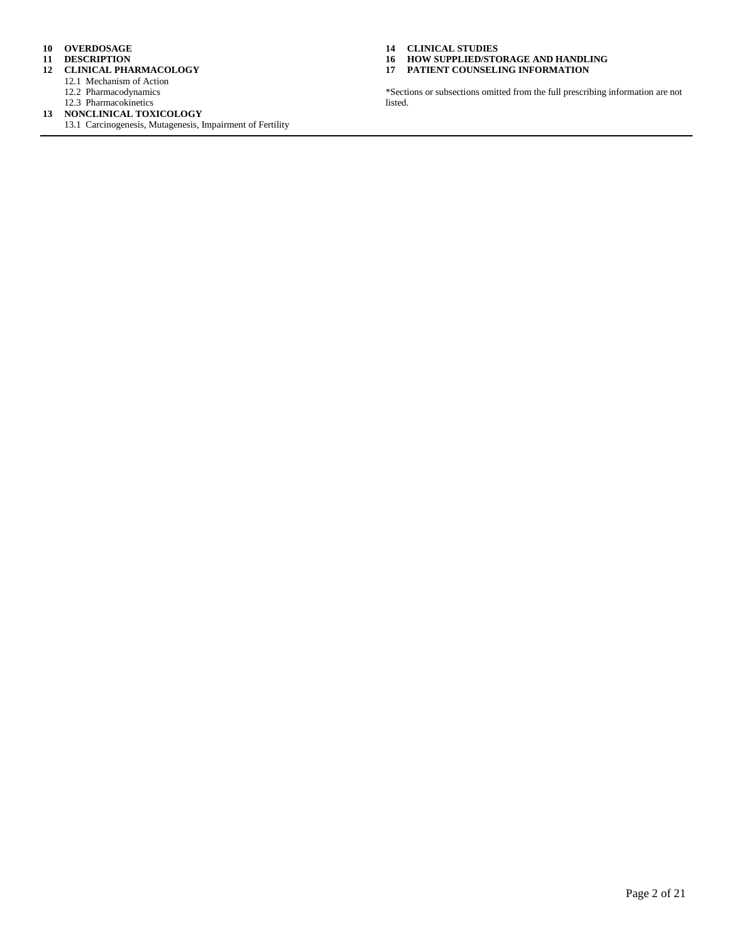- **10 OVERDOSAGE**
- **11 DESCRIPTION**
- **12 CLINICAL PHARMACOLOGY**
	- 12.1 Mechanism of Action
	- 12.2 Pharmacodynamics
	- 12.3 Pharmacokinetics
- **13 NONCLINICAL TOXICOLOGY**
	- 13.1 Carcinogenesis, Mutagenesis, Impairment of Fertility

**14 CLINICAL STUDIES**

**16 HOW SUPPLIED/STORAGE AND HANDLING 17 PATIENT COUNSELING INFORMATION**

\*Sections or subsections omitted from the full prescribing information are not listed.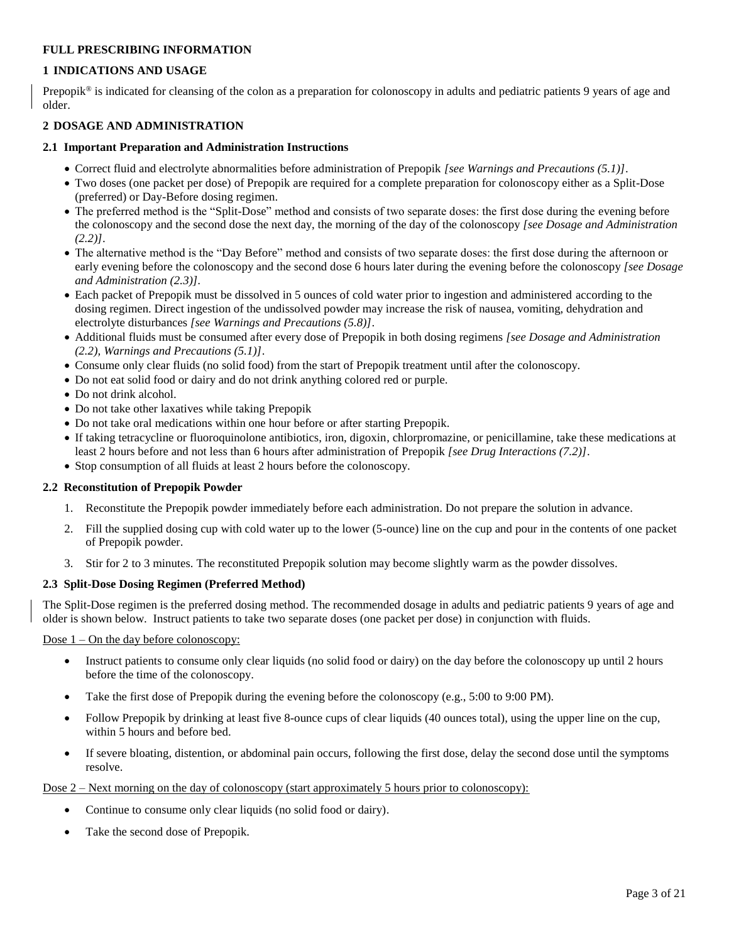## **FULL PRESCRIBING INFORMATION**

## **1 INDICATIONS AND USAGE**

Prepopik® is indicated for cleansing of the colon as a preparation for colonoscopy in adults and pediatric patients 9 years of age and older.

#### **2 DOSAGE AND ADMINISTRATION**

#### **2.1 Important Preparation and Administration Instructions**

- Correct fluid and electrolyte abnormalities before administration of Prepopik *[see Warnings and Precautions (5.1)]*.
- Two doses (one packet per dose) of Prepopik are required for a complete preparation for colonoscopy either as a Split-Dose (preferred) or Day-Before dosing regimen.
- The preferred method is the "Split-Dose" method and consists of two separate doses: the first dose during the evening before the colonoscopy and the second dose the next day, the morning of the day of the colonoscopy *[see Dosage and Administration (2.2)]*.
- The alternative method is the "Day Before" method and consists of two separate doses: the first dose during the afternoon or early evening before the colonoscopy and the second dose 6 hours later during the evening before the colonoscopy *[see Dosage and Administration (2.3)].*
- Each packet of Prepopik must be dissolved in 5 ounces of cold water prior to ingestion and administered according to the dosing regimen. Direct ingestion of the undissolved powder may increase the risk of nausea, vomiting, dehydration and electrolyte disturbances *[see Warnings and Precautions (5.8)]*.
- Additional fluids must be consumed after every dose of Prepopik in both dosing regimens *[see Dosage and Administration (2.2), Warnings and Precautions (5.1)]*.
- Consume only clear fluids (no solid food) from the start of Prepopik treatment until after the colonoscopy.
- Do not eat solid food or dairy and do not drink anything colored red or purple.
- Do not drink alcohol.
- Do not take other laxatives while taking Prepopik
- Do not take oral medications within one hour before or after starting Prepopik.
- If taking tetracycline or fluoroquinolone antibiotics, iron, digoxin, chlorpromazine, or penicillamine, take these medications at least 2 hours before and not less than 6 hours after administration of Prepopik *[see Drug Interactions (7.2)]*.
- Stop consumption of all fluids at least 2 hours before the colonoscopy.

## **2.2 Reconstitution of Prepopik Powder**

- 1. Reconstitute the Prepopik powder immediately before each administration. Do not prepare the solution in advance.
- 2. Fill the supplied dosing cup with cold water up to the lower (5-ounce) line on the cup and pour in the contents of one packet of Prepopik powder.
- 3. Stir for 2 to 3 minutes. The reconstituted Prepopik solution may become slightly warm as the powder dissolves.

## **2.3 Split-Dose Dosing Regimen (Preferred Method)**

The Split-Dose regimen is the preferred dosing method. The recommended dosage in adults and pediatric patients 9 years of age and older is shown below. Instruct patients to take two separate doses (one packet per dose) in conjunction with fluids.

#### Dose  $1 -$ On the day before colonoscopy:

- Instruct patients to consume only clear liquids (no solid food or dairy) on the day before the colonoscopy up until 2 hours before the time of the colonoscopy.
- Take the first dose of Prepopik during the evening before the colonoscopy (e.g., 5:00 to 9:00 PM).
- Follow Prepopik by drinking at least five 8-ounce cups of clear liquids (40 ounces total), using the upper line on the cup, within 5 hours and before bed.
- If severe bloating, distention, or abdominal pain occurs, following the first dose, delay the second dose until the symptoms resolve.

Dose 2 – Next morning on the day of colonoscopy (start approximately 5 hours prior to colonoscopy):

- Continue to consume only clear liquids (no solid food or dairy).
- Take the second dose of Prepopik.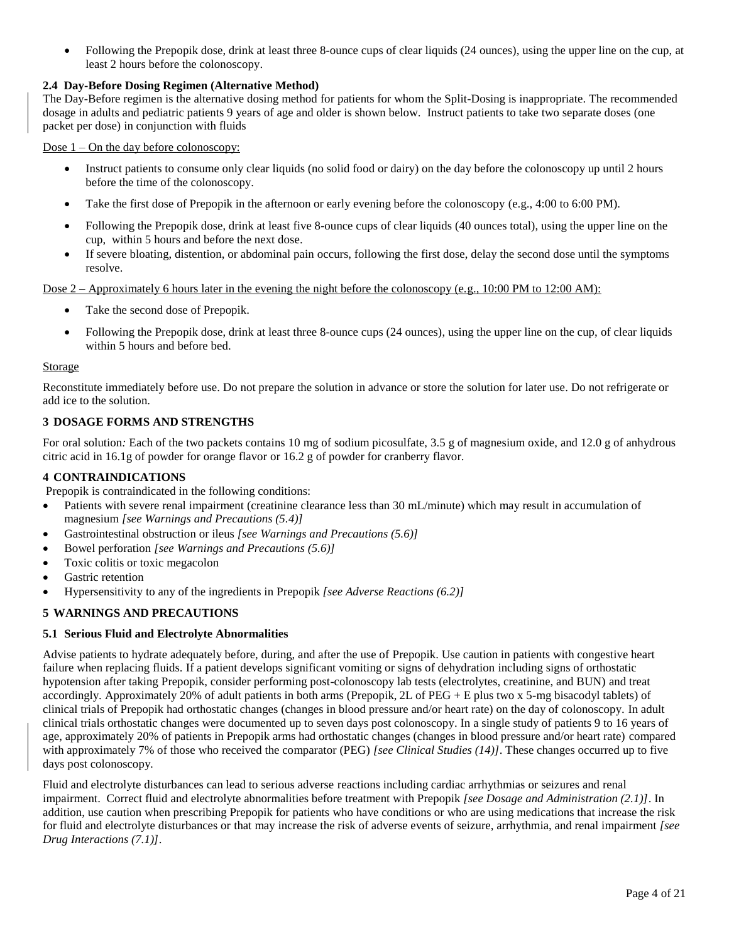• Following the Prepopik dose, drink at least three 8-ounce cups of clear liquids (24 ounces), using the upper line on the cup, at least 2 hours before the colonoscopy.

## **2.4 Day-Before Dosing Regimen (Alternative Method)**

The Day-Before regimen is the alternative dosing method for patients for whom the Split-Dosing is inappropriate. The recommended dosage in adults and pediatric patients 9 years of age and older is shown below. Instruct patients to take two separate doses (one packet per dose) in conjunction with fluids

Dose 1 – On the day before colonoscopy:

- Instruct patients to consume only clear liquids (no solid food or dairy) on the day before the colonoscopy up until 2 hours before the time of the colonoscopy.
- Take the first dose of Prepopik in the afternoon or early evening before the colonoscopy (e.g., 4:00 to 6:00 PM).
- Following the Prepopik dose, drink at least five 8-ounce cups of clear liquids (40 ounces total), using the upper line on the cup, within 5 hours and before the next dose.
- If severe bloating, distention, or abdominal pain occurs, following the first dose, delay the second dose until the symptoms resolve.

Dose 2 – Approximately 6 hours later in the evening the night before the colonoscopy (e.g., 10:00 PM to 12:00 AM):

- Take the second dose of Prepopik.
- Following the Prepopik dose, drink at least three 8-ounce cups (24 ounces), using the upper line on the cup, of clear liquids within 5 hours and before bed.

#### **Storage**

Reconstitute immediately before use. Do not prepare the solution in advance or store the solution for later use. Do not refrigerate or add ice to the solution.

## **3 DOSAGE FORMS AND STRENGTHS**

For oral solution*:* Each of the two packets contains 10 mg of sodium picosulfate, 3.5 g of magnesium oxide, and 12.0 g of anhydrous citric acid in 16.1g of powder for orange flavor or 16.2 g of powder for cranberry flavor.

#### **4 CONTRAINDICATIONS**

Prepopik is contraindicated in the following conditions:

- Patients with severe renal impairment (creatinine clearance less than 30 mL/minute) which may result in accumulation of magnesium *[see Warnings and Precautions (5.4)]*
- Gastrointestinal obstruction or ileus *[see Warnings and Precautions (5.6)]*
- Bowel perforation *[see Warnings and Precautions (5.6)]*
- Toxic colitis or toxic megacolon
- Gastric retention
- Hypersensitivity to any of the ingredients in Prepopik *[see Adverse Reactions (6.2)]*

## **5 WARNINGS AND PRECAUTIONS**

#### **5.1 Serious Fluid and Electrolyte Abnormalities**

Advise patients to hydrate adequately before, during, and after the use of Prepopik. Use caution in patients with congestive heart failure when replacing fluids. If a patient develops significant vomiting or signs of dehydration including signs of orthostatic hypotension after taking Prepopik, consider performing post-colonoscopy lab tests (electrolytes, creatinine, and BUN) and treat accordingly. Approximately 20% of adult patients in both arms (Prepopik, 2L of  $PEG + E$  plus two x 5-mg bisacodyl tablets) of clinical trials of Prepopik had orthostatic changes (changes in blood pressure and/or heart rate) on the day of colonoscopy. In adult clinical trials orthostatic changes were documented up to seven days post colonoscopy. In a single study of patients 9 to 16 years of age, approximately 20% of patients in Prepopik arms had orthostatic changes (changes in blood pressure and/or heart rate) compared with approximately 7% of those who received the comparator (PEG) *[see Clinical Studies (14)]*. These changes occurred up to five days post colonoscopy*.*

Fluid and electrolyte disturbances can lead to serious adverse reactions including cardiac arrhythmias or seizures and renal impairment. Correct fluid and electrolyte abnormalities before treatment with Prepopik *[see Dosage and Administration (2.1)]*. In addition, use caution when prescribing Prepopik for patients who have conditions or who are using medications that increase the risk for fluid and electrolyte disturbances or that may increase the risk of adverse events of seizure, arrhythmia, and renal impairment *[see Drug Interactions (7.1)]*.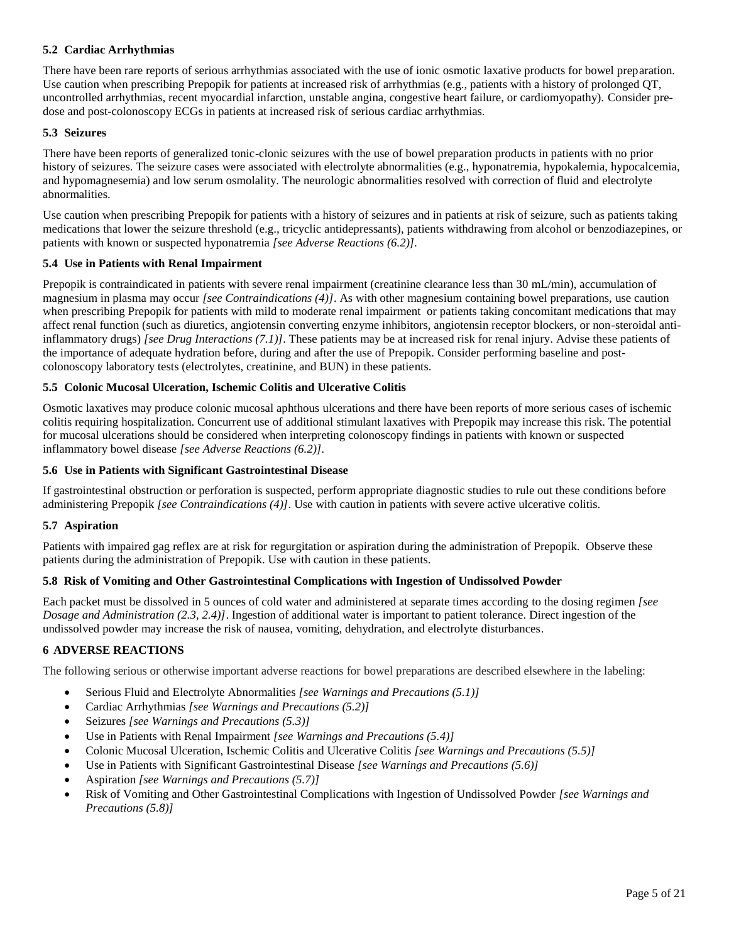## **5.2 Cardiac Arrhythmias**

There have been rare reports of serious arrhythmias associated with the use of ionic osmotic laxative products for bowel preparation. Use caution when prescribing Prepopik for patients at increased risk of arrhythmias (e.g., patients with a history of prolonged QT, uncontrolled arrhythmias, recent myocardial infarction, unstable angina, congestive heart failure, or cardiomyopathy). Consider predose and post-colonoscopy ECGs in patients at increased risk of serious cardiac arrhythmias.

#### **5.3 Seizures**

There have been reports of generalized tonic-clonic seizures with the use of bowel preparation products in patients with no prior history of seizures. The seizure cases were associated with electrolyte abnormalities (e.g., hyponatremia, hypokalemia, hypocalcemia, and hypomagnesemia) and low serum osmolality. The neurologic abnormalities resolved with correction of fluid and electrolyte abnormalities.

Use caution when prescribing Prepopik for patients with a history of seizures and in patients at risk of seizure, such as patients taking medications that lower the seizure threshold (e.g., tricyclic antidepressants), patients withdrawing from alcohol or benzodiazepines, or patients with known or suspected hyponatremia *[see Adverse Reactions (6.2)].*

#### **5.4 Use in Patients with Renal Impairment**

Prepopik is contraindicated in patients with severe renal impairment (creatinine clearance less than 30 mL/min), accumulation of magnesium in plasma may occur *[see Contraindications (4)]*. As with other magnesium containing bowel preparations, use caution when prescribing Prepopik for patients with mild to moderate renal impairment or patients taking concomitant medications that may affect renal function (such as diuretics, angiotensin converting enzyme inhibitors, angiotensin receptor blockers, or non-steroidal antiinflammatory drugs) *[see Drug Interactions (7.1)]*. These patients may be at increased risk for renal injury. Advise these patients of the importance of adequate hydration before, during and after the use of Prepopik. Consider performing baseline and postcolonoscopy laboratory tests (electrolytes, creatinine, and BUN) in these patients.

#### **5.5 Colonic Mucosal Ulceration, Ischemic Colitis and Ulcerative Colitis**

Osmotic laxatives may produce colonic mucosal aphthous ulcerations and there have been reports of more serious cases of ischemic colitis requiring hospitalization. Concurrent use of additional stimulant laxatives with Prepopik may increase this risk. The potential for mucosal ulcerations should be considered when interpreting colonoscopy findings in patients with known or suspected inflammatory bowel disease *[see Adverse Reactions (6.2)].*

#### **5.6 Use in Patients with Significant Gastrointestinal Disease**

If gastrointestinal obstruction or perforation is suspected, perform appropriate diagnostic studies to rule out these conditions before administering Prepopik *[see Contraindications (4)]*. Use with caution in patients with severe active ulcerative colitis.

## **5.7 Aspiration**

Patients with impaired gag reflex are at risk for regurgitation or aspiration during the administration of Prepopik. Observe these patients during the administration of Prepopik. Use with caution in these patients.

## **5.8 Risk of Vomiting and Other Gastrointestinal Complications with Ingestion of Undissolved Powder**

Each packet must be dissolved in 5 ounces of cold water and administered at separate times according to the dosing regimen *[see Dosage and Administration (2.3, 2.4)]*. Ingestion of additional water is important to patient tolerance. Direct ingestion of the undissolved powder may increase the risk of nausea, vomiting, dehydration, and electrolyte disturbances.

## **6 ADVERSE REACTIONS**

The following serious or otherwise important adverse reactions for bowel preparations are described elsewhere in the labeling:

- Serious Fluid and Electrolyte Abnormalities *[see Warnings and Precautions (5.1)]*
- Cardiac Arrhythmias *[see Warnings and Precautions (5.2)]*
- Seizures *[see Warnings and Precautions (5.3)]*
- Use in Patients with Renal Impairment *[see Warnings and Precautions (5.4)]*
- Colonic Mucosal Ulceration, Ischemic Colitis and Ulcerative Colitis *[see Warnings and Precautions (5.5)]*
- Use in Patients with Significant Gastrointestinal Disease *[see Warnings and Precautions (5.6)]*
- Aspiration *[see Warnings and Precautions (5.7)]*
- Risk of Vomiting and Other Gastrointestinal Complications with Ingestion of Undissolved Powder *[see Warnings and Precautions (5.8)]*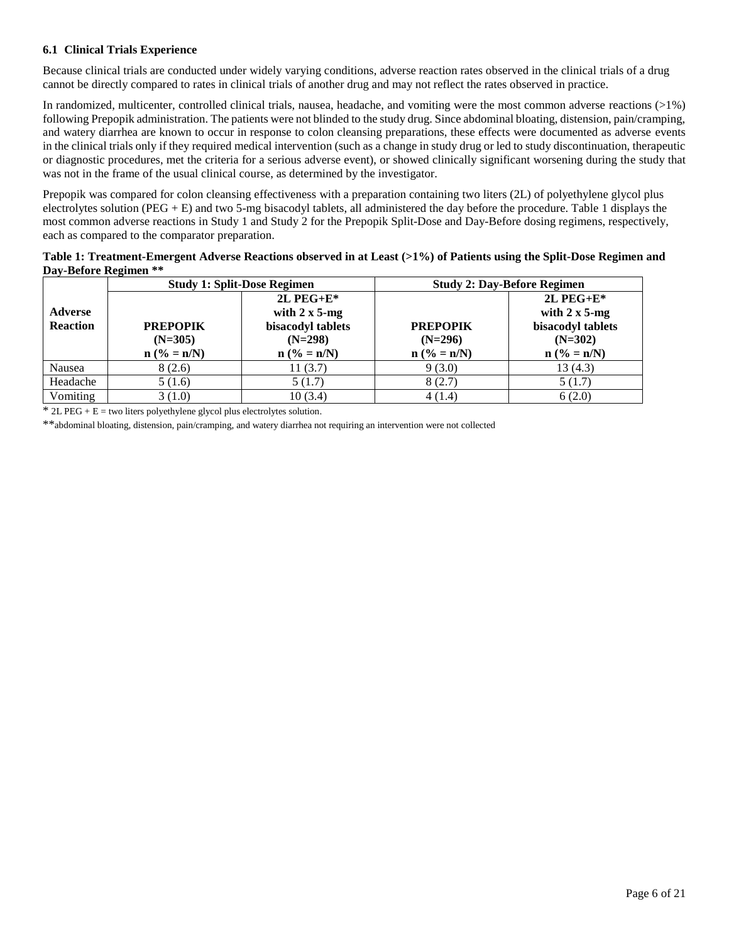## **6.1 Clinical Trials Experience**

Because clinical trials are conducted under widely varying conditions, adverse reaction rates observed in the clinical trials of a drug cannot be directly compared to rates in clinical trials of another drug and may not reflect the rates observed in practice.

In randomized, multicenter, controlled clinical trials, nausea, headache, and vomiting were the most common adverse reactions  $(>1%)$ following Prepopik administration. The patients were not blinded to the study drug. Since abdominal bloating, distension, pain/cramping, and watery diarrhea are known to occur in response to colon cleansing preparations, these effects were documented as adverse events in the clinical trials only if they required medical intervention (such as a change in study drug or led to study discontinuation, therapeutic or diagnostic procedures, met the criteria for a serious adverse event), or showed clinically significant worsening during the study that was not in the frame of the usual clinical course, as determined by the investigator.

Prepopik was compared for colon cleansing effectiveness with a preparation containing two liters (2L) of polyethylene glycol plus electrolytes solution (PEG + E) and two 5-mg bisacodyl tablets, all administered the day before the procedure. Table 1 displays the most common adverse reactions in Study 1 and Study 2 for the Prepopik Split-Dose and Day-Before dosing regimens, respectively, each as compared to the comparator preparation.

| Table 1: Treatment-Emergent Adverse Reactions observed in at Least (>1%) of Patients using the Split-Dose Regimen and |  |
|-----------------------------------------------------------------------------------------------------------------------|--|
| Day-Before Regimen **                                                                                                 |  |

|                 | <b>Study 1: Split-Dose Regimen</b> |                       |                 | <b>Study 2: Day-Before Regimen</b> |
|-----------------|------------------------------------|-----------------------|-----------------|------------------------------------|
|                 |                                    | $2L$ PEG+E*           |                 | $2L$ PEG+E*                        |
| <b>Adverse</b>  |                                    | with $2 \times 5$ -mg |                 | with $2 \times 5$ -mg              |
| <b>Reaction</b> | <b>PREPOPIK</b>                    | bisacodyl tablets     | <b>PREPOPIK</b> | bisacodyl tablets                  |
|                 | $(N=305)$                          | $(N=298)$             | $(N=296)$       | $(N=302)$                          |
|                 | $n (% = n/N)$                      | $n ( \% = n/N)$       | $n (% = n/N)$   | $n (% = n/N)$                      |
| Nausea          | 8(2.6)                             | 11(3.7)               | 9(3.0)          | 13(4.3)                            |
| Headache        | 5(1.6)                             | 5(1.7)                | 8(2.7)          | 5(1.7)                             |
| Vomiting        | 3(1.0)                             | 10(3.4)               | 4(1.4)          | 6(2.0)                             |

 $*$  2L PEG + E = two liters polyethylene glycol plus electrolytes solution.

\*\*abdominal bloating, distension, pain/cramping, and watery diarrhea not requiring an intervention were not collected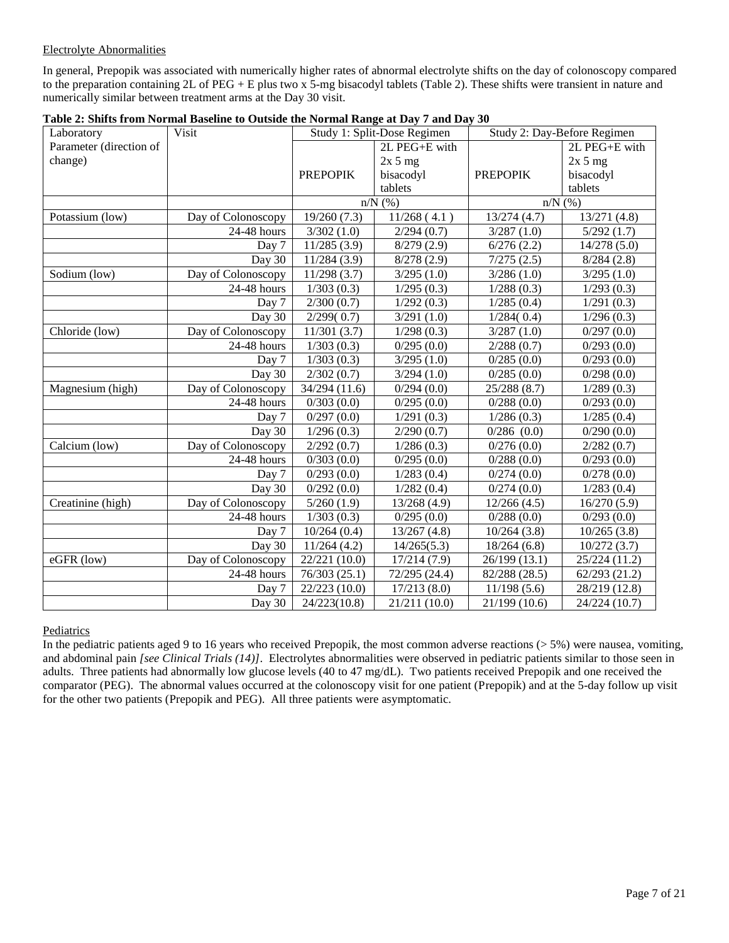## Electrolyte Abnormalities

In general, Prepopik was associated with numerically higher rates of abnormal electrolyte shifts on the day of colonoscopy compared to the preparation containing 2L of PEG + E plus two x 5-mg bisacodyl tablets (Table 2). These shifts were transient in nature and numerically similar between treatment arms at the Day 30 visit.

| Laboratory              | Visit                     | Study 1: Split-Dose Regimen |               | Study 2: Day-Before Regimen |               |
|-------------------------|---------------------------|-----------------------------|---------------|-----------------------------|---------------|
| Parameter (direction of |                           |                             | 2L PEG+E with |                             | 2L PEG+E with |
| change)                 |                           |                             | 2x 5 mg       |                             | 2x 5 mg       |
|                         |                           | <b>PREPOPIK</b>             | bisacodyl     | <b>PREPOPIK</b>             | bisacodyl     |
|                         |                           |                             | tablets       |                             | tablets       |
|                         |                           |                             | $n/N$ (%)     | $n/N$ (%)                   |               |
| Potassium (low)         | Day of Colonoscopy        | 19/260(7.3)                 | 11/268(4.1)   | 13/274(4.7)                 | 13/271(4.8)   |
|                         | 24-48 hours               | 3/302(1.0)                  | 2/294(0.7)    | 3/287(1.0)                  | 5/292(1.7)    |
|                         | Day 7                     | 11/285(3.9)                 | 8/279(2.9)    | 6/276(2.2)                  | 14/278(5.0)   |
|                         | Day 30                    | 11/284(3.9)                 | 8/278(2.9)    | 7/275(2.5)                  | 8/284(2.8)    |
| Sodium (low)            | Day of Colonoscopy        | 11/298(3.7)                 | 3/295(1.0)    | 3/286(1.0)                  | 3/295(1.0)    |
|                         | 24-48 hours               | 1/303(0.3)                  | 1/295(0.3)    | 1/288(0.3)                  | 1/293(0.3)    |
|                         | Day 7                     | 2/300(0.7)                  | 1/292(0.3)    | 1/285(0.4)                  | 1/291(0.3)    |
|                         | Day 30                    | 2/299(0.7)                  | 3/291(1.0)    | 1/284(0.4)                  | 1/296(0.3)    |
| Chloride (low)          | Day of Colonoscopy        | 11/301(3.7)                 | 1/298(0.3)    | 3/287(1.0)                  | 0/297(0.0)    |
|                         | $24-48$ hours             | 1/303(0.3)                  | 0/295(0.0)    | 2/288(0.7)                  | 0/293(0.0)    |
|                         | Day 7                     | 1/303(0.3)                  | 3/295(1.0)    | 0/285(0.0)                  | 0/293(0.0)    |
|                         | Day 30                    | 2/302(0.7)                  | 3/294(1.0)    | 0/285(0.0)                  | 0/298(0.0)    |
| Magnesium (high)        | Day of Colonoscopy        | 34/294 (11.6)               | 0/294(0.0)    | 25/288(8.7)                 | 1/289(0.3)    |
|                         | 24-48 hours               | 0/303(0.0)                  | 0/295(0.0)    | 0/288(0.0)                  | 0/293(0.0)    |
|                         | Day 7                     | 0/297(0.0)                  | 1/291(0.3)    | 1/286(0.3)                  | 1/285(0.4)    |
|                         | Day 30                    | 1/296(0.3)                  | 2/290(0.7)    | $0/286$ $(0.0)$             | 0/290(0.0)    |
| Calcium (low)           | Day of Colonoscopy        | 2/292(0.7)                  | 1/286(0.3)    | 0/276(0.0)                  | 2/282(0.7)    |
|                         | 24-48 hours               | 0/303(0.0)                  | 0/295(0.0)    | 0/288(0.0)                  | 0/293(0.0)    |
|                         | Day 7                     | 0/293(0.0)                  | 1/283(0.4)    | 0/274(0.0)                  | 0/278(0.0)    |
|                         | Day 30                    | $\sqrt{0}/292(0.0)$         | 1/282(0.4)    | 0/274(0.0)                  | 1/283(0.4)    |
| Creatinine (high)       | Day of Colonoscopy        | 5/260(1.9)                  | 13/268(4.9)   | 12/266(4.5)                 | 16/270(5.9)   |
|                         | $\overline{24}$ -48 hours | 1/303(0.3)                  | 0/295(0.0)    | 0/288(0.0)                  | 0/293(0.0)    |
|                         | Day 7                     | 10/264(0.4)                 | 13/267(4.8)   | 10/264(3.8)                 | 10/265(3.8)   |
|                         | Day 30                    | 11/264(4.2)                 | 14/265(5.3)   | 18/264(6.8)                 | 10/272(3.7)   |
| eGFR (low)              | Day of Colonoscopy        | 22/221 (10.0)               | 17/214(7.9)   | 26/199 (13.1)               | 25/224 (11.2) |
|                         | 24-48 hours               | 76/303 (25.1)               | 72/295 (24.4) | 82/288 (28.5)               | 62/293(21.2)  |
|                         | Day 7                     | 22/223 (10.0)               | 17/213(8.0)   | 11/198(5.6)                 | 28/219 (12.8) |
|                         | Day 30                    | 24/223(10.8)                | 21/211 (10.0) | 21/199(10.6)                | 24/224 (10.7) |

| Table 2: Shifts from Normal Baseline to Outside the Normal Range at Day 7 and Day 30 |  |  |
|--------------------------------------------------------------------------------------|--|--|
|                                                                                      |  |  |

Pediatrics

In the pediatric patients aged 9 to 16 years who received Prepopik, the most common adverse reactions (> 5%) were nausea, vomiting, and abdominal pain *[see Clinical Trials (14)]*. Electrolytes abnormalities were observed in pediatric patients similar to those seen in adults. Three patients had abnormally low glucose levels (40 to 47 mg/dL). Two patients received Prepopik and one received the comparator (PEG). The abnormal values occurred at the colonoscopy visit for one patient (Prepopik) and at the 5-day follow up visit for the other two patients (Prepopik and PEG). All three patients were asymptomatic.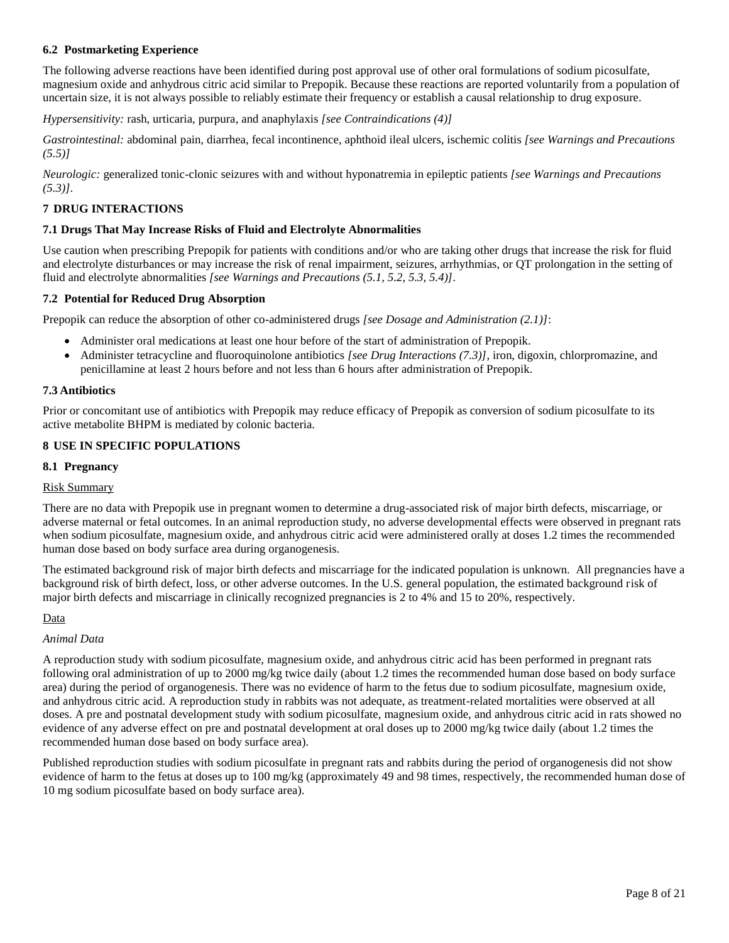## **6.2 Postmarketing Experience**

The following adverse reactions have been identified during post approval use of other oral formulations of sodium picosulfate, magnesium oxide and anhydrous citric acid similar to Prepopik. Because these reactions are reported voluntarily from a population of uncertain size, it is not always possible to reliably estimate their frequency or establish a causal relationship to drug exposure.

*Hypersensitivity:* rash, urticaria, purpura, and anaphylaxis *[see Contraindications (4)]*

*Gastrointestinal:* abdominal pain, diarrhea, fecal incontinence, aphthoid ileal ulcers, ischemic colitis *[see Warnings and Precautions (5.5)]*

*Neurologic:* generalized tonic-clonic seizures with and without hyponatremia in epileptic patients *[see Warnings and Precautions (5.3)].*

## **7 DRUG INTERACTIONS**

## **7.1 Drugs That May Increase Risks of Fluid and Electrolyte Abnormalities**

Use caution when prescribing Prepopik for patients with conditions and/or who are taking other drugs that increase the risk for fluid and electrolyte disturbances or may increase the risk of renal impairment, seizures, arrhythmias, or QT prolongation in the setting of fluid and electrolyte abnormalities *[see Warnings and Precautions (5.1, 5.2, 5.3, 5.4)].*

#### **7.2 Potential for Reduced Drug Absorption**

Prepopik can reduce the absorption of other co-administered drugs *[see Dosage and Administration (2.1)]*:

- Administer oral medications at least one hour before of the start of administration of Prepopik.
- Administer tetracycline and fluoroquinolone antibiotics *[see Drug Interactions (7.3)]*, iron, digoxin, chlorpromazine, and penicillamine at least 2 hours before and not less than 6 hours after administration of Prepopik.

#### **7.3 Antibiotics**

Prior or concomitant use of antibiotics with Prepopik may reduce efficacy of Prepopik as conversion of sodium picosulfate to its active metabolite BHPM is mediated by colonic bacteria.

## **8 USE IN SPECIFIC POPULATIONS**

#### **8.1 Pregnancy**

## Risk Summary

There are no data with Prepopik use in pregnant women to determine a drug-associated risk of major birth defects, miscarriage, or adverse maternal or fetal outcomes. In an animal reproduction study, no adverse developmental effects were observed in pregnant rats when sodium picosulfate, magnesium oxide, and anhydrous citric acid were administered orally at doses 1.2 times the recommended human dose based on body surface area during organogenesis.

The estimated background risk of major birth defects and miscarriage for the indicated population is unknown. All pregnancies have a background risk of birth defect, loss, or other adverse outcomes. In the U.S. general population, the estimated background risk of major birth defects and miscarriage in clinically recognized pregnancies is 2 to 4% and 15 to 20%, respectively.

#### Data

#### *Animal Data*

A reproduction study with sodium picosulfate, magnesium oxide, and anhydrous citric acid has been performed in pregnant rats following oral administration of up to 2000 mg/kg twice daily (about 1.2 times the recommended human dose based on body surface area) during the period of organogenesis. There was no evidence of harm to the fetus due to sodium picosulfate, magnesium oxide, and anhydrous citric acid. A reproduction study in rabbits was not adequate, as treatment-related mortalities were observed at all doses. A pre and postnatal development study with sodium picosulfate, magnesium oxide, and anhydrous citric acid in rats showed no evidence of any adverse effect on pre and postnatal development at oral doses up to 2000 mg/kg twice daily (about 1.2 times the recommended human dose based on body surface area).

Published reproduction studies with sodium picosulfate in pregnant rats and rabbits during the period of organogenesis did not show evidence of harm to the fetus at doses up to 100 mg/kg (approximately 49 and 98 times, respectively, the recommended human dose of 10 mg sodium picosulfate based on body surface area).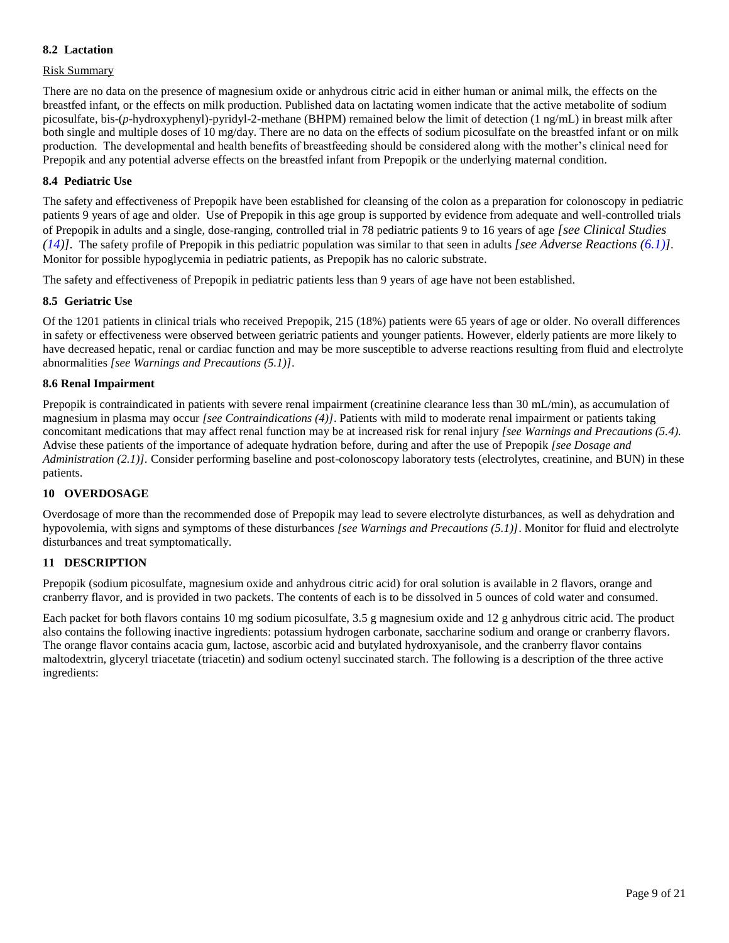## **8.2 Lactation**

## Risk Summary

There are no data on the presence of magnesium oxide or anhydrous citric acid in either human or animal milk, the effects on the breastfed infant, or the effects on milk production. Published data on lactating women indicate that the active metabolite of sodium picosulfate, bis-(*p*-hydroxyphenyl)-pyridyl-2-methane (BHPM) remained below the limit of detection (1 ng/mL) in breast milk after both single and multiple doses of 10 mg/day. There are no data on the effects of sodium picosulfate on the breastfed infant or on milk production. The developmental and health benefits of breastfeeding should be considered along with the mother's clinical need for Prepopik and any potential adverse effects on the breastfed infant from Prepopik or the underlying maternal condition.

#### **8.4 Pediatric Use**

The safety and effectiveness of Prepopik have been established for cleansing of the colon as a preparation for colonoscopy in pediatric patients 9 years of age and older. Use of Prepopik in this age group is supported by evidence from adequate and well-controlled trials of Prepopik in adults and a single, dose-ranging, controlled trial in 78 pediatric patients 9 to 16 years of age *[see Clinical Studies (14)].* The safety profile of Prepopik in this pediatric population was similar to that seen in adults *[see Adverse Reactions (6.1)]*. Monitor for possible hypoglycemia in pediatric patients, as Prepopik has no caloric substrate.

The safety and effectiveness of Prepopik in pediatric patients less than 9 years of age have not been established.

#### **8.5 Geriatric Use**

Of the 1201 patients in clinical trials who received Prepopik, 215 (18%) patients were 65 years of age or older. No overall differences in safety or effectiveness were observed between geriatric patients and younger patients. However, elderly patients are more likely to have decreased hepatic, renal or cardiac function and may be more susceptible to adverse reactions resulting from fluid and electrolyte abnormalities *[see Warnings and Precautions (5.1)]*.

#### **8.6 Renal Impairment**

Prepopik is contraindicated in patients with severe renal impairment (creatinine clearance less than 30 mL/min), as accumulation of magnesium in plasma may occur *[see Contraindications (4)]*. Patients with mild to moderate renal impairment or patients taking concomitant medications that may affect renal function may be at increased risk for renal injury *[see Warnings and Precautions (5.4).* Advise these patients of the importance of adequate hydration before, during and after the use of Prepopik *[see Dosage and Administration (2.1)].* Consider performing baseline and post-colonoscopy laboratory tests (electrolytes, creatinine, and BUN) in these patients.

#### **10 OVERDOSAGE**

Overdosage of more than the recommended dose of Prepopik may lead to severe electrolyte disturbances, as well as dehydration and hypovolemia, with signs and symptoms of these disturbances *[see Warnings and Precautions (5.1)]*. Monitor for fluid and electrolyte disturbances and treat symptomatically.

## **11 DESCRIPTION**

Prepopik (sodium picosulfate, magnesium oxide and anhydrous citric acid) for oral solution is available in 2 flavors, orange and cranberry flavor, and is provided in two packets. The contents of each is to be dissolved in 5 ounces of cold water and consumed.

Each packet for both flavors contains 10 mg sodium picosulfate, 3.5 g magnesium oxide and 12 g anhydrous citric acid. The product also contains the following inactive ingredients: potassium hydrogen carbonate, saccharine sodium and orange or cranberry flavors. The orange flavor contains acacia gum, lactose, ascorbic acid and butylated hydroxyanisole, and the cranberry flavor contains maltodextrin, glyceryl triacetate (triacetin) and sodium octenyl succinated starch. The following is a description of the three active ingredients: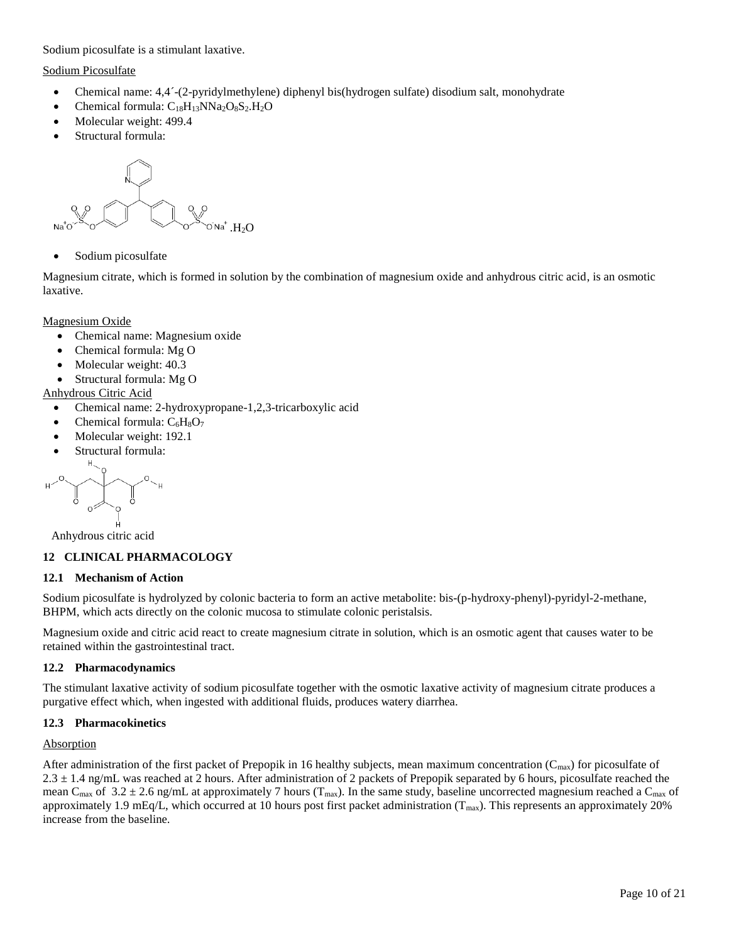Sodium picosulfate is a stimulant laxative.

#### Sodium Picosulfate

- Chemical name: 4,4´-(2-pyridylmethylene) diphenyl bis(hydrogen sulfate) disodium salt, monohydrate
- Chemical formula:  $C_{18}H_{13}NNa_2O_8S_2.H_2O$
- Molecular weight: 499.4
- Structural formula:

$$
\begin{array}{c}\n\begin{array}{c}\n\swarrow \\
\searrow \\
\swarrow\n\end{array}\n\end{array}
$$

• Sodium picosulfate

Magnesium citrate, which is formed in solution by the combination of magnesium oxide and anhydrous citric acid, is an osmotic laxative.

Magnesium Oxide

- Chemical name: Magnesium oxide
- Chemical formula: Mg O
- Molecular weight: 40.3
- Structural formula: Mg O

## Anhydrous Citric Acid

- Chemical name: 2-hydroxypropane-1,2,3-tricarboxylic acid
- Chemical formula:  $C_6H_8O_7$
- Molecular weight: 192.1
- Structural formula:

$$
\begin{picture}(160,170) \put(100,170){\line(1,0){10}} \put(100,170){\line(1,0){10}} \put(100,170){\line(1,0){10}} \put(100,170){\line(1,0){10}} \put(100,170){\line(1,0){10}} \put(100,170){\line(1,0){10}} \put(100,170){\line(1,0){10}} \put(100,170){\line(1,0){10}} \put(100,170){\line(1,0){10}} \put(100,170){\line(1,0){10}} \put(100,170){\line(1,0){10}} \put(100,170){\line(1,0){10}} \put(100,170){\line(1,0){10}} \put(100,170){\line(1,0){10}} \put(100,170){\line(1,0){10}} \put(100,170){\line(1,0){10}} \put(100,170){\line(1,0){10}} \put(100,170){\line(1,0){10}} \put(100,170){\line(1,0){10}} \put(100,170){\line(1,0){10}} \put(100,170){\line(1,0){10}} \put(100,170){\line(1,0){10}} \put(100,170){\line(1,0){10}} \put(100,170){\line(1,0){10}} \put(100,170){\line(1,0){10}} \put(100,170){\line(1,0){10}} \put(100,170){\line(1,0){10}} \put(100,170){\line(1,0){10}} \put(100,170){\line(1,0){10}} \put(100,170){\line(1,0){10}} \put(100,170){\line(1,0){10}} \put(100,170){\line(1,0){10}} \put(100,170){\line(1,0){10}} \put(100,170){\line(1,0){10}} \put(100,170){\line(1,0){10}} \put(100,170){\
$$

Anhydrous citric acid

## **12 CLINICAL PHARMACOLOGY**

## **12.1 Mechanism of Action**

Sodium picosulfate is hydrolyzed by colonic bacteria to form an active metabolite: bis-(p-hydroxy-phenyl)-pyridyl-2-methane, BHPM, which acts directly on the colonic mucosa to stimulate colonic peristalsis.

Magnesium oxide and citric acid react to create magnesium citrate in solution, which is an osmotic agent that causes water to be retained within the gastrointestinal tract.

## **12.2 Pharmacodynamics**

The stimulant laxative activity of sodium picosulfate together with the osmotic laxative activity of magnesium citrate produces a purgative effect which, when ingested with additional fluids, produces watery diarrhea.

## **12.3 Pharmacokinetics**

## Absorption

After administration of the first packet of Prepopik in 16 healthy subjects, mean maximum concentration  $(C_{\text{max}})$  for picosulfate of  $2.3 \pm 1.4$  ng/mL was reached at 2 hours. After administration of 2 packets of Prepopik separated by 6 hours, picosulfate reached the mean C<sub>max</sub> of 3.2 ± 2.6 ng/mL at approximately 7 hours (T<sub>max</sub>). In the same study, baseline uncorrected magnesium reached a C<sub>max</sub> of approximately 1.9 mEq/L, which occurred at 10 hours post first packet administration ( $T_{max}$ ). This represents an approximately 20% increase from the baseline.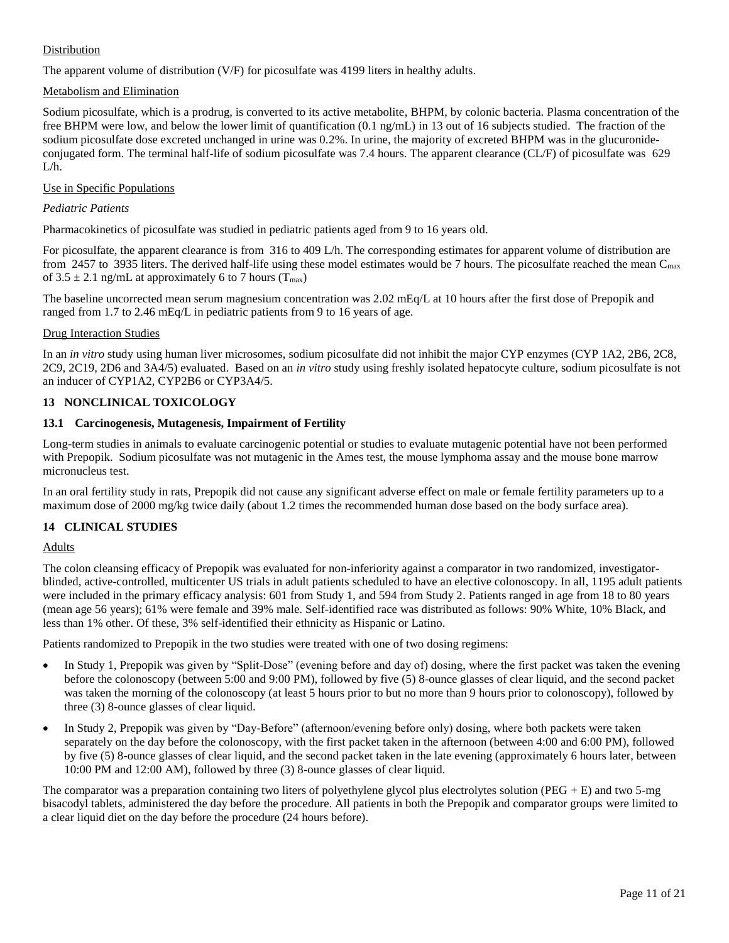## Distribution

The apparent volume of distribution (V/F) for picosulfate was 4199 liters in healthy adults.

## Metabolism and Elimination

Sodium picosulfate, which is a prodrug, is converted to its active metabolite, BHPM, by colonic bacteria. Plasma concentration of the free BHPM were low, and below the lower limit of quantification (0.1 ng/mL) in 13 out of 16 subjects studied. The fraction of the sodium picosulfate dose excreted unchanged in urine was 0.2%. In urine, the majority of excreted BHPM was in the glucuronideconjugated form. The terminal half-life of sodium picosulfate was 7.4 hours. The apparent clearance (CL/F) of picosulfate was 629  $L/h$ .

## Use in Specific Populations

#### *Pediatric Patients*

Pharmacokinetics of picosulfate was studied in pediatric patients aged from 9 to 16 years old.

For picosulfate, the apparent clearance is from 316 to 409 L/h. The corresponding estimates for apparent volume of distribution are from 2457 to 3935 liters. The derived half-life using these model estimates would be 7 hours. The picosulfate reached the mean  $C_{\text{max}}$ of  $3.5 \pm 2.1$  ng/mL at approximately 6 to 7 hours (T<sub>max</sub>)

The baseline uncorrected mean serum magnesium concentration was 2.02 mEq/L at 10 hours after the first dose of Prepopik and ranged from 1.7 to 2.46 mEq/L in pediatric patients from 9 to 16 years of age.

#### Drug Interaction Studies

In an *in vitro* study using human liver microsomes, sodium picosulfate did not inhibit the major CYP enzymes (CYP 1A2, 2B6, 2C8, 2C9, 2C19, 2D6 and 3A4/5) evaluated. Based on an *in vitro* study using freshly isolated hepatocyte culture, sodium picosulfate is not an inducer of CYP1A2, CYP2B6 or CYP3A4/5.

## **13 NONCLINICAL TOXICOLOGY**

## **13.1 Carcinogenesis, Mutagenesis, Impairment of Fertility**

Long-term studies in animals to evaluate carcinogenic potential or studies to evaluate mutagenic potential have not been performed with Prepopik. Sodium picosulfate was not mutagenic in the Ames test, the mouse lymphoma assay and the mouse bone marrow micronucleus test.

In an oral fertility study in rats, Prepopik did not cause any significant adverse effect on male or female fertility parameters up to a maximum dose of 2000 mg/kg twice daily (about 1.2 times the recommended human dose based on the body surface area).

## **14 CLINICAL STUDIES**

## Adults

The colon cleansing efficacy of Prepopik was evaluated for non-inferiority against a comparator in two randomized, investigatorblinded, active-controlled, multicenter US trials in adult patients scheduled to have an elective colonoscopy. In all, 1195 adult patients were included in the primary efficacy analysis: 601 from Study 1, and 594 from Study 2. Patients ranged in age from 18 to 80 years (mean age 56 years); 61% were female and 39% male. Self-identified race was distributed as follows: 90% White, 10% Black, and less than 1% other. Of these, 3% self-identified their ethnicity as Hispanic or Latino.

Patients randomized to Prepopik in the two studies were treated with one of two dosing regimens:

- In Study 1, Prepopik was given by "Split-Dose" (evening before and day of) dosing, where the first packet was taken the evening before the colonoscopy (between 5:00 and 9:00 PM), followed by five (5) 8-ounce glasses of clear liquid, and the second packet was taken the morning of the colonoscopy (at least 5 hours prior to but no more than 9 hours prior to colonoscopy), followed by three (3) 8-ounce glasses of clear liquid.
- In Study 2, Prepopik was given by "Day-Before" (afternoon/evening before only) dosing, where both packets were taken separately on the day before the colonoscopy, with the first packet taken in the afternoon (between 4:00 and 6:00 PM), followed by five (5) 8-ounce glasses of clear liquid, and the second packet taken in the late evening (approximately 6 hours later, between 10:00 PM and 12:00 AM), followed by three (3) 8-ounce glasses of clear liquid.

The comparator was a preparation containing two liters of polyethylene glycol plus electrolytes solution (PEG + E) and two 5-mg bisacodyl tablets, administered the day before the procedure. All patients in both the Prepopik and comparator groups were limited to a clear liquid diet on the day before the procedure (24 hours before).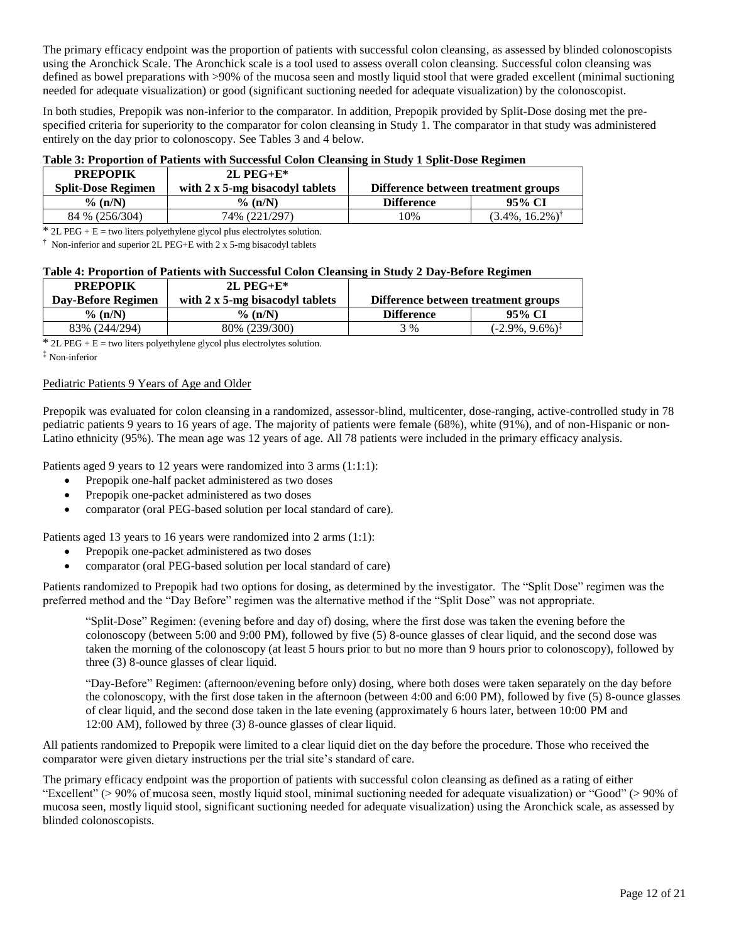The primary efficacy endpoint was the proportion of patients with successful colon cleansing, as assessed by blinded colonoscopists using the Aronchick Scale. The Aronchick scale is a tool used to assess overall colon cleansing. Successful colon cleansing was defined as bowel preparations with >90% of the mucosa seen and mostly liquid stool that were graded excellent (minimal suctioning needed for adequate visualization) or good (significant suctioning needed for adequate visualization) by the colonoscopist.

In both studies, Prepopik was non-inferior to the comparator. In addition, Prepopik provided by Split-Dose dosing met the prespecified criteria for superiority to the comparator for colon cleansing in Study 1. The comparator in that study was administered entirely on the day prior to colonoscopy. See Tables 3 and 4 below.

## **Table 3: Proportion of Patients with Successful Colon Cleansing in Study 1 Split-Dose Regimen**

| <b>PREPOPIK</b>           | $2L$ PEG+E*                             |                                     |                             |
|---------------------------|-----------------------------------------|-------------------------------------|-----------------------------|
| <b>Split-Dose Regimen</b> | with $2 \times 5$ -mg bisacodyl tablets | Difference between treatment groups |                             |
| $\%$ (n/N)                | $\%$ (n/N)                              | <b>Difference</b>                   | 95% CI                      |
| 84 % (256/304)            | 74% (221/297)                           | 10%                                 | $(3.4\%, 16.2\%)^{\dagger}$ |

 $*$  2L PEG + E = two liters polyethylene glycol plus electrolytes solution.

† Non-inferior and superior 2L PEG+E with 2 x 5-mg bisacodyl tablets

## **Table 4: Proportion of Patients with Successful Colon Cleansing in Study 2 Day-Before Regimen**

| <b>PREPOPIK</b>    | $2L$ PEG+E*                             |                                     |                              |
|--------------------|-----------------------------------------|-------------------------------------|------------------------------|
| Day-Before Regimen | with $2 \times 5$ -mg bisacodyl tablets | Difference between treatment groups |                              |
| $\%$ (n/N)         | $%$ (n/N)                               | <b>Difference</b>                   | 95% CI                       |
| 83% (244/294)      | 80% (239/300)                           | 3 %                                 | $(-2.9\%, 9.6\%)^{\ddagger}$ |

 $*$  2L PEG + E = two liters polyethylene glycol plus electrolytes solution.

# ‡ Non-inferior

#### Pediatric Patients 9 Years of Age and Older

Prepopik was evaluated for colon cleansing in a randomized, assessor-blind, multicenter, dose-ranging, active-controlled study in 78 pediatric patients 9 years to 16 years of age. The majority of patients were female (68%), white (91%), and of non-Hispanic or non-Latino ethnicity (95%). The mean age was 12 years of age. All 78 patients were included in the primary efficacy analysis.

Patients aged 9 years to 12 years were randomized into 3 arms (1:1:1):

- Prepopik one-half packet administered as two doses
- Prepopik one-packet administered as two doses
- comparator (oral PEG-based solution per local standard of care).

Patients aged 13 years to 16 years were randomized into 2 arms (1:1):

- Prepopik one-packet administered as two doses
- comparator (oral PEG-based solution per local standard of care)

Patients randomized to Prepopik had two options for dosing, as determined by the investigator. The "Split Dose" regimen was the preferred method and the "Day Before" regimen was the alternative method if the "Split Dose" was not appropriate.

"Split-Dose" Regimen: (evening before and day of) dosing, where the first dose was taken the evening before the colonoscopy (between 5:00 and 9:00 PM), followed by five (5) 8-ounce glasses of clear liquid, and the second dose was taken the morning of the colonoscopy (at least 5 hours prior to but no more than 9 hours prior to colonoscopy), followed by three (3) 8-ounce glasses of clear liquid.

"Day-Before" Regimen: (afternoon/evening before only) dosing, where both doses were taken separately on the day before the colonoscopy, with the first dose taken in the afternoon (between 4:00 and 6:00 PM), followed by five (5) 8-ounce glasses of clear liquid, and the second dose taken in the late evening (approximately 6 hours later, between 10:00 PM and 12:00 AM), followed by three (3) 8-ounce glasses of clear liquid.

All patients randomized to Prepopik were limited to a clear liquid diet on the day before the procedure. Those who received the comparator were given dietary instructions per the trial site's standard of care.

The primary efficacy endpoint was the proportion of patients with successful colon cleansing as defined as a rating of either "Excellent" (> 90% of mucosa seen, mostly liquid stool, minimal suctioning needed for adequate visualization) or "Good" (> 90% of mucosa seen, mostly liquid stool, significant suctioning needed for adequate visualization) using the Aronchick scale, as assessed by blinded colonoscopists.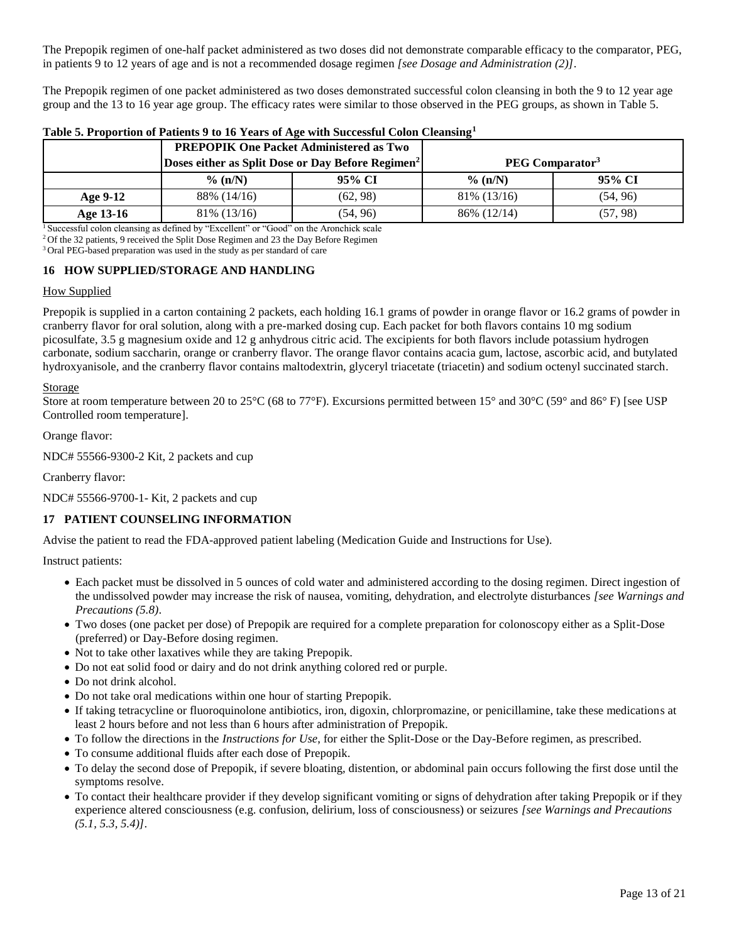The Prepopik regimen of one-half packet administered as two doses did not demonstrate comparable efficacy to the comparator, PEG, in patients 9 to 12 years of age and is not a recommended dosage regimen *[see Dosage and Administration (2)]*.

The Prepopik regimen of one packet administered as two doses demonstrated successful colon cleansing in both the 9 to 12 year age group and the 13 to 16 year age group. The efficacy rates were similar to those observed in the PEG groups, as shown in Table 5.

|            |                                                               | <b>PREPOPIK One Packet Administered as Two</b> |              |                             |
|------------|---------------------------------------------------------------|------------------------------------------------|--------------|-----------------------------|
|            | Doses either as Split Dose or Day Before Regimen <sup>2</sup> |                                                |              | PEG Comparator <sup>3</sup> |
|            | $\%$ (n/N)                                                    | 95% CI                                         | $\%$ (n/N)   | 95% CI                      |
| Age $9-12$ | 88% (14/16)                                                   | (62, 98)                                       | 81\% (13/16) | (54, 96)                    |
| Age 13-16  | 81\% (13/16)                                                  | (54, 96)                                       | 86% (12/14)  | (57, 98)                    |

## **Table 5. Proportion of Patients 9 to 16 Years of Age with Successful Colon Cleansing<sup>1</sup>**

<sup>1</sup> Successful colon cleansing as defined by "Excellent" or "Good" on the Aronchick scale

<sup>2</sup> Of the 32 patients, 9 received the Split Dose Regimen and 23 the Day Before Regimen

<sup>3</sup> Oral PEG-based preparation was used in the study as per standard of care

#### **16 HOW SUPPLIED/STORAGE AND HANDLING**

#### How Supplied

Prepopik is supplied in a carton containing 2 packets, each holding 16.1 grams of powder in orange flavor or 16.2 grams of powder in cranberry flavor for oral solution, along with a pre-marked dosing cup. Each packet for both flavors contains 10 mg sodium picosulfate, 3.5 g magnesium oxide and 12 g anhydrous citric acid. The excipients for both flavors include potassium hydrogen carbonate, sodium saccharin, orange or cranberry flavor. The orange flavor contains acacia gum, lactose, ascorbic acid, and butylated hydroxyanisole, and the cranberry flavor contains maltodextrin, glyceryl triacetate (triacetin) and sodium octenyl succinated starch.

#### **Storage**

Store at room temperature between 20 to 25°C (68 to 77°F). Excursions permitted between 15° and 30°C (59° and 86° F) [see USP Controlled room temperature].

Orange flavor:

NDC# 55566-9300-2 Kit, 2 packets and cup

Cranberry flavor:

NDC# 55566-9700-1- Kit, 2 packets and cup

## **17 PATIENT COUNSELING INFORMATION**

Advise the patient to read the FDA-approved patient labeling (Medication Guide and Instructions for Use).

Instruct patients:

- Each packet must be dissolved in 5 ounces of cold water and administered according to the dosing regimen. Direct ingestion of the undissolved powder may increase the risk of nausea, vomiting, dehydration, and electrolyte disturbances *[see Warnings and Precautions (5.8)*.
- Two doses (one packet per dose) of Prepopik are required for a complete preparation for colonoscopy either as a Split-Dose (preferred) or Day-Before dosing regimen.
- Not to take other laxatives while they are taking Prepopik.
- Do not eat solid food or dairy and do not drink anything colored red or purple.
- Do not drink alcohol.
- Do not take oral medications within one hour of starting Prepopik.
- If taking tetracycline or fluoroquinolone antibiotics, iron, digoxin, chlorpromazine, or penicillamine, take these medications at least 2 hours before and not less than 6 hours after administration of Prepopik.
- To follow the directions in the *Instructions for Use*, for either the Split-Dose or the Day-Before regimen, as prescribed.
- To consume additional fluids after each dose of Prepopik.
- To delay the second dose of Prepopik, if severe bloating, distention, or abdominal pain occurs following the first dose until the symptoms resolve.
- To contact their healthcare provider if they develop significant vomiting or signs of dehydration after taking Prepopik or if they experience altered consciousness (e.g. confusion, delirium, loss of consciousness) or seizures *[see Warnings and Precautions (5.1, 5.3, 5.4)]*.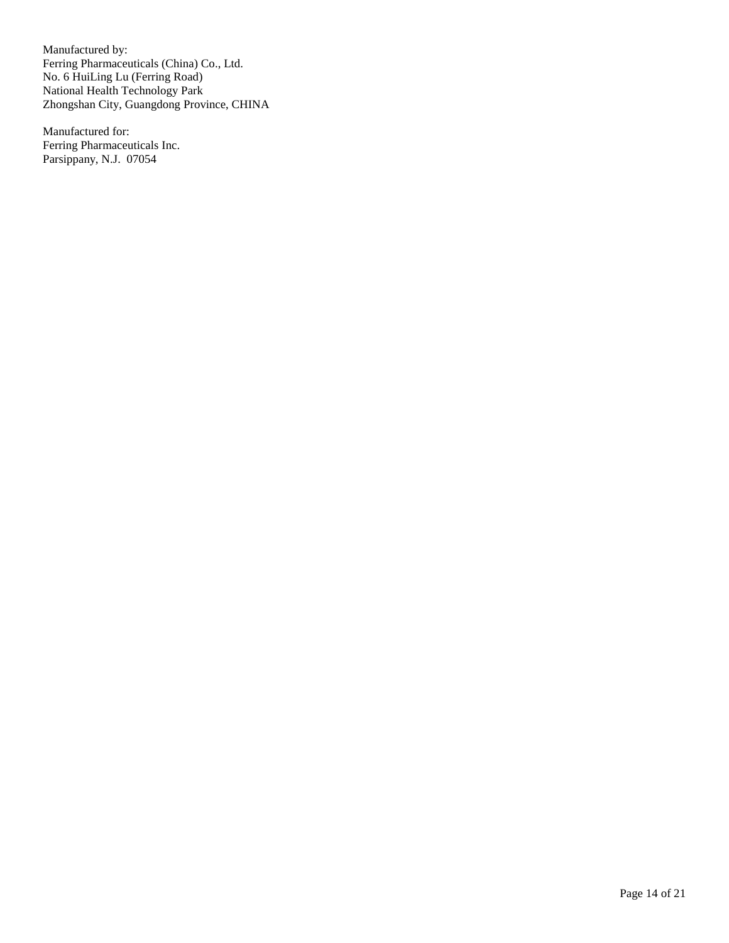Manufactured by: Ferring Pharmaceuticals (China) Co., Ltd. No. 6 HuiLing Lu (Ferring Road) National Health Technology Park Zhongshan City, Guangdong Province, CHINA

Manufactured for: Ferring Pharmaceuticals Inc. Parsippany, N.J. 07054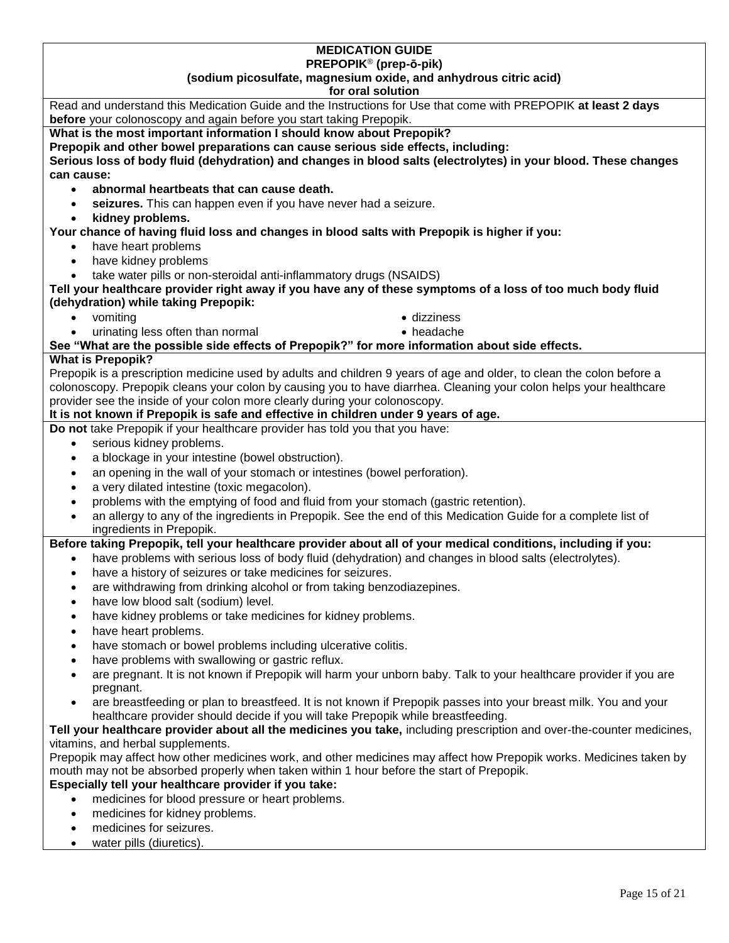#### **MEDICATION GUIDE PREPOPIK**® **(prep-ō-pik)**

# **(sodium picosulfate, magnesium oxide, and anhydrous citric acid)**

## **for oral solution**

| before your colonoscopy and again before you start taking Prepopik.<br>What is the most important information I should know about Prepopik?<br>Prepopik and other bowel preparations can cause serious side effects, including:<br>Serious loss of body fluid (dehydration) and changes in blood salts (electrolytes) in your blood. These changes<br>can cause:<br>abnormal heartbeats that can cause death.<br>$\bullet$<br>seizures. This can happen even if you have never had a seizure.<br>$\bullet$<br>kidney problems.<br>$\bullet$<br>Your chance of having fluid loss and changes in blood salts with Prepopik is higher if you:<br>have heart problems<br>$\bullet$<br>have kidney problems<br>$\bullet$<br>take water pills or non-steroidal anti-inflammatory drugs (NSAIDS)<br>$\bullet$<br>Tell your healthcare provider right away if you have any of these symptoms of a loss of too much body fluid<br>(dehydration) while taking Prepopik:<br>vomiting<br>• dizziness<br>$\bullet$<br>urinating less often than normal<br>• headache<br>$\bullet$<br>See "What are the possible side effects of Prepopik?" for more information about side effects.<br><b>What is Prepopik?</b><br>Prepopik is a prescription medicine used by adults and children 9 years of age and older, to clean the colon before a<br>colonoscopy. Prepopik cleans your colon by causing you to have diarrhea. Cleaning your colon helps your healthcare<br>provider see the inside of your colon more clearly during your colonoscopy.<br>It is not known if Prepopik is safe and effective in children under 9 years of age.<br>Do not take Prepopik if your healthcare provider has told you that you have:<br>serious kidney problems.<br>$\bullet$<br>a blockage in your intestine (bowel obstruction).<br>$\bullet$<br>an opening in the wall of your stomach or intestines (bowel perforation).<br>$\bullet$<br>a very dilated intestine (toxic megacolon).<br>$\bullet$<br>problems with the emptying of food and fluid from your stomach (gastric retention).<br>$\bullet$<br>an allergy to any of the ingredients in Prepopik. See the end of this Medication Guide for a complete list of<br>$\bullet$<br>ingredients in Prepopik.<br>Before taking Prepopik, tell your healthcare provider about all of your medical conditions, including if you:<br>have problems with serious loss of body fluid (dehydration) and changes in blood salts (electrolytes).<br>$\bullet$<br>have a history of seizures or take medicines for seizures.<br>$\bullet$<br>are withdrawing from drinking alcohol or from taking benzodiazepines.<br>$\bullet$<br>have low blood salt (sodium) level.<br>$\bullet$<br>have kidney problems or take medicines for kidney problems.<br>$\bullet$<br>have heart problems.<br>$\bullet$<br>have stomach or bowel problems including ulcerative colitis.<br>have problems with swallowing or gastric reflux.<br>$\bullet$<br>are pregnant. It is not known if Prepopik will harm your unborn baby. Talk to your healthcare provider if you are<br>$\bullet$<br>pregnant.<br>are breastfeeding or plan to breastfeed. It is not known if Prepopik passes into your breast milk. You and your<br>$\bullet$<br>healthcare provider should decide if you will take Prepopik while breastfeeding.<br>Tell your healthcare provider about all the medicines you take, including prescription and over-the-counter medicines,<br>vitamins, and herbal supplements.<br>Prepopik may affect how other medicines work, and other medicines may affect how Prepopik works. Medicines taken by<br>mouth may not be absorbed properly when taken within 1 hour before the start of Prepopik.<br>Especially tell your healthcare provider if you take:<br>medicines for blood pressure or heart problems.<br>$\bullet$<br>medicines for kidney problems.<br>$\bullet$<br>medicines for seizures.<br>$\bullet$<br>water pills (diuretics).<br>$\bullet$ | for oral solution                                                                                              |
|----------------------------------------------------------------------------------------------------------------------------------------------------------------------------------------------------------------------------------------------------------------------------------------------------------------------------------------------------------------------------------------------------------------------------------------------------------------------------------------------------------------------------------------------------------------------------------------------------------------------------------------------------------------------------------------------------------------------------------------------------------------------------------------------------------------------------------------------------------------------------------------------------------------------------------------------------------------------------------------------------------------------------------------------------------------------------------------------------------------------------------------------------------------------------------------------------------------------------------------------------------------------------------------------------------------------------------------------------------------------------------------------------------------------------------------------------------------------------------------------------------------------------------------------------------------------------------------------------------------------------------------------------------------------------------------------------------------------------------------------------------------------------------------------------------------------------------------------------------------------------------------------------------------------------------------------------------------------------------------------------------------------------------------------------------------------------------------------------------------------------------------------------------------------------------------------------------------------------------------------------------------------------------------------------------------------------------------------------------------------------------------------------------------------------------------------------------------------------------------------------------------------------------------------------------------------------------------------------------------------------------------------------------------------------------------------------------------------------------------------------------------------------------------------------------------------------------------------------------------------------------------------------------------------------------------------------------------------------------------------------------------------------------------------------------------------------------------------------------------------------------------------------------------------------------------------------------------------------------------------------------------------------------------------------------------------------------------------------------------------------------------------------------------------------------------------------------------------------------------------------------------------------------------------------------------------------------------------------------------------------------------------------------------------------------------------------------------------------------------------------------------------------------------------------------------------------------------------------------------------------------------------------------------------------------------------------------------------|----------------------------------------------------------------------------------------------------------------|
|                                                                                                                                                                                                                                                                                                                                                                                                                                                                                                                                                                                                                                                                                                                                                                                                                                                                                                                                                                                                                                                                                                                                                                                                                                                                                                                                                                                                                                                                                                                                                                                                                                                                                                                                                                                                                                                                                                                                                                                                                                                                                                                                                                                                                                                                                                                                                                                                                                                                                                                                                                                                                                                                                                                                                                                                                                                                                                                                                                                                                                                                                                                                                                                                                                                                                                                                                                                                                                                                                                                                                                                                                                                                                                                                                                                                                                                                                                                                                                      | Read and understand this Medication Guide and the Instructions for Use that come with PREPOPIK at least 2 days |
|                                                                                                                                                                                                                                                                                                                                                                                                                                                                                                                                                                                                                                                                                                                                                                                                                                                                                                                                                                                                                                                                                                                                                                                                                                                                                                                                                                                                                                                                                                                                                                                                                                                                                                                                                                                                                                                                                                                                                                                                                                                                                                                                                                                                                                                                                                                                                                                                                                                                                                                                                                                                                                                                                                                                                                                                                                                                                                                                                                                                                                                                                                                                                                                                                                                                                                                                                                                                                                                                                                                                                                                                                                                                                                                                                                                                                                                                                                                                                                      |                                                                                                                |
|                                                                                                                                                                                                                                                                                                                                                                                                                                                                                                                                                                                                                                                                                                                                                                                                                                                                                                                                                                                                                                                                                                                                                                                                                                                                                                                                                                                                                                                                                                                                                                                                                                                                                                                                                                                                                                                                                                                                                                                                                                                                                                                                                                                                                                                                                                                                                                                                                                                                                                                                                                                                                                                                                                                                                                                                                                                                                                                                                                                                                                                                                                                                                                                                                                                                                                                                                                                                                                                                                                                                                                                                                                                                                                                                                                                                                                                                                                                                                                      |                                                                                                                |
|                                                                                                                                                                                                                                                                                                                                                                                                                                                                                                                                                                                                                                                                                                                                                                                                                                                                                                                                                                                                                                                                                                                                                                                                                                                                                                                                                                                                                                                                                                                                                                                                                                                                                                                                                                                                                                                                                                                                                                                                                                                                                                                                                                                                                                                                                                                                                                                                                                                                                                                                                                                                                                                                                                                                                                                                                                                                                                                                                                                                                                                                                                                                                                                                                                                                                                                                                                                                                                                                                                                                                                                                                                                                                                                                                                                                                                                                                                                                                                      |                                                                                                                |
|                                                                                                                                                                                                                                                                                                                                                                                                                                                                                                                                                                                                                                                                                                                                                                                                                                                                                                                                                                                                                                                                                                                                                                                                                                                                                                                                                                                                                                                                                                                                                                                                                                                                                                                                                                                                                                                                                                                                                                                                                                                                                                                                                                                                                                                                                                                                                                                                                                                                                                                                                                                                                                                                                                                                                                                                                                                                                                                                                                                                                                                                                                                                                                                                                                                                                                                                                                                                                                                                                                                                                                                                                                                                                                                                                                                                                                                                                                                                                                      |                                                                                                                |
|                                                                                                                                                                                                                                                                                                                                                                                                                                                                                                                                                                                                                                                                                                                                                                                                                                                                                                                                                                                                                                                                                                                                                                                                                                                                                                                                                                                                                                                                                                                                                                                                                                                                                                                                                                                                                                                                                                                                                                                                                                                                                                                                                                                                                                                                                                                                                                                                                                                                                                                                                                                                                                                                                                                                                                                                                                                                                                                                                                                                                                                                                                                                                                                                                                                                                                                                                                                                                                                                                                                                                                                                                                                                                                                                                                                                                                                                                                                                                                      |                                                                                                                |
|                                                                                                                                                                                                                                                                                                                                                                                                                                                                                                                                                                                                                                                                                                                                                                                                                                                                                                                                                                                                                                                                                                                                                                                                                                                                                                                                                                                                                                                                                                                                                                                                                                                                                                                                                                                                                                                                                                                                                                                                                                                                                                                                                                                                                                                                                                                                                                                                                                                                                                                                                                                                                                                                                                                                                                                                                                                                                                                                                                                                                                                                                                                                                                                                                                                                                                                                                                                                                                                                                                                                                                                                                                                                                                                                                                                                                                                                                                                                                                      |                                                                                                                |
|                                                                                                                                                                                                                                                                                                                                                                                                                                                                                                                                                                                                                                                                                                                                                                                                                                                                                                                                                                                                                                                                                                                                                                                                                                                                                                                                                                                                                                                                                                                                                                                                                                                                                                                                                                                                                                                                                                                                                                                                                                                                                                                                                                                                                                                                                                                                                                                                                                                                                                                                                                                                                                                                                                                                                                                                                                                                                                                                                                                                                                                                                                                                                                                                                                                                                                                                                                                                                                                                                                                                                                                                                                                                                                                                                                                                                                                                                                                                                                      |                                                                                                                |
|                                                                                                                                                                                                                                                                                                                                                                                                                                                                                                                                                                                                                                                                                                                                                                                                                                                                                                                                                                                                                                                                                                                                                                                                                                                                                                                                                                                                                                                                                                                                                                                                                                                                                                                                                                                                                                                                                                                                                                                                                                                                                                                                                                                                                                                                                                                                                                                                                                                                                                                                                                                                                                                                                                                                                                                                                                                                                                                                                                                                                                                                                                                                                                                                                                                                                                                                                                                                                                                                                                                                                                                                                                                                                                                                                                                                                                                                                                                                                                      |                                                                                                                |
|                                                                                                                                                                                                                                                                                                                                                                                                                                                                                                                                                                                                                                                                                                                                                                                                                                                                                                                                                                                                                                                                                                                                                                                                                                                                                                                                                                                                                                                                                                                                                                                                                                                                                                                                                                                                                                                                                                                                                                                                                                                                                                                                                                                                                                                                                                                                                                                                                                                                                                                                                                                                                                                                                                                                                                                                                                                                                                                                                                                                                                                                                                                                                                                                                                                                                                                                                                                                                                                                                                                                                                                                                                                                                                                                                                                                                                                                                                                                                                      |                                                                                                                |
|                                                                                                                                                                                                                                                                                                                                                                                                                                                                                                                                                                                                                                                                                                                                                                                                                                                                                                                                                                                                                                                                                                                                                                                                                                                                                                                                                                                                                                                                                                                                                                                                                                                                                                                                                                                                                                                                                                                                                                                                                                                                                                                                                                                                                                                                                                                                                                                                                                                                                                                                                                                                                                                                                                                                                                                                                                                                                                                                                                                                                                                                                                                                                                                                                                                                                                                                                                                                                                                                                                                                                                                                                                                                                                                                                                                                                                                                                                                                                                      |                                                                                                                |
|                                                                                                                                                                                                                                                                                                                                                                                                                                                                                                                                                                                                                                                                                                                                                                                                                                                                                                                                                                                                                                                                                                                                                                                                                                                                                                                                                                                                                                                                                                                                                                                                                                                                                                                                                                                                                                                                                                                                                                                                                                                                                                                                                                                                                                                                                                                                                                                                                                                                                                                                                                                                                                                                                                                                                                                                                                                                                                                                                                                                                                                                                                                                                                                                                                                                                                                                                                                                                                                                                                                                                                                                                                                                                                                                                                                                                                                                                                                                                                      |                                                                                                                |
|                                                                                                                                                                                                                                                                                                                                                                                                                                                                                                                                                                                                                                                                                                                                                                                                                                                                                                                                                                                                                                                                                                                                                                                                                                                                                                                                                                                                                                                                                                                                                                                                                                                                                                                                                                                                                                                                                                                                                                                                                                                                                                                                                                                                                                                                                                                                                                                                                                                                                                                                                                                                                                                                                                                                                                                                                                                                                                                                                                                                                                                                                                                                                                                                                                                                                                                                                                                                                                                                                                                                                                                                                                                                                                                                                                                                                                                                                                                                                                      |                                                                                                                |
|                                                                                                                                                                                                                                                                                                                                                                                                                                                                                                                                                                                                                                                                                                                                                                                                                                                                                                                                                                                                                                                                                                                                                                                                                                                                                                                                                                                                                                                                                                                                                                                                                                                                                                                                                                                                                                                                                                                                                                                                                                                                                                                                                                                                                                                                                                                                                                                                                                                                                                                                                                                                                                                                                                                                                                                                                                                                                                                                                                                                                                                                                                                                                                                                                                                                                                                                                                                                                                                                                                                                                                                                                                                                                                                                                                                                                                                                                                                                                                      |                                                                                                                |
|                                                                                                                                                                                                                                                                                                                                                                                                                                                                                                                                                                                                                                                                                                                                                                                                                                                                                                                                                                                                                                                                                                                                                                                                                                                                                                                                                                                                                                                                                                                                                                                                                                                                                                                                                                                                                                                                                                                                                                                                                                                                                                                                                                                                                                                                                                                                                                                                                                                                                                                                                                                                                                                                                                                                                                                                                                                                                                                                                                                                                                                                                                                                                                                                                                                                                                                                                                                                                                                                                                                                                                                                                                                                                                                                                                                                                                                                                                                                                                      |                                                                                                                |
|                                                                                                                                                                                                                                                                                                                                                                                                                                                                                                                                                                                                                                                                                                                                                                                                                                                                                                                                                                                                                                                                                                                                                                                                                                                                                                                                                                                                                                                                                                                                                                                                                                                                                                                                                                                                                                                                                                                                                                                                                                                                                                                                                                                                                                                                                                                                                                                                                                                                                                                                                                                                                                                                                                                                                                                                                                                                                                                                                                                                                                                                                                                                                                                                                                                                                                                                                                                                                                                                                                                                                                                                                                                                                                                                                                                                                                                                                                                                                                      |                                                                                                                |
|                                                                                                                                                                                                                                                                                                                                                                                                                                                                                                                                                                                                                                                                                                                                                                                                                                                                                                                                                                                                                                                                                                                                                                                                                                                                                                                                                                                                                                                                                                                                                                                                                                                                                                                                                                                                                                                                                                                                                                                                                                                                                                                                                                                                                                                                                                                                                                                                                                                                                                                                                                                                                                                                                                                                                                                                                                                                                                                                                                                                                                                                                                                                                                                                                                                                                                                                                                                                                                                                                                                                                                                                                                                                                                                                                                                                                                                                                                                                                                      |                                                                                                                |
|                                                                                                                                                                                                                                                                                                                                                                                                                                                                                                                                                                                                                                                                                                                                                                                                                                                                                                                                                                                                                                                                                                                                                                                                                                                                                                                                                                                                                                                                                                                                                                                                                                                                                                                                                                                                                                                                                                                                                                                                                                                                                                                                                                                                                                                                                                                                                                                                                                                                                                                                                                                                                                                                                                                                                                                                                                                                                                                                                                                                                                                                                                                                                                                                                                                                                                                                                                                                                                                                                                                                                                                                                                                                                                                                                                                                                                                                                                                                                                      |                                                                                                                |
|                                                                                                                                                                                                                                                                                                                                                                                                                                                                                                                                                                                                                                                                                                                                                                                                                                                                                                                                                                                                                                                                                                                                                                                                                                                                                                                                                                                                                                                                                                                                                                                                                                                                                                                                                                                                                                                                                                                                                                                                                                                                                                                                                                                                                                                                                                                                                                                                                                                                                                                                                                                                                                                                                                                                                                                                                                                                                                                                                                                                                                                                                                                                                                                                                                                                                                                                                                                                                                                                                                                                                                                                                                                                                                                                                                                                                                                                                                                                                                      |                                                                                                                |
|                                                                                                                                                                                                                                                                                                                                                                                                                                                                                                                                                                                                                                                                                                                                                                                                                                                                                                                                                                                                                                                                                                                                                                                                                                                                                                                                                                                                                                                                                                                                                                                                                                                                                                                                                                                                                                                                                                                                                                                                                                                                                                                                                                                                                                                                                                                                                                                                                                                                                                                                                                                                                                                                                                                                                                                                                                                                                                                                                                                                                                                                                                                                                                                                                                                                                                                                                                                                                                                                                                                                                                                                                                                                                                                                                                                                                                                                                                                                                                      |                                                                                                                |
|                                                                                                                                                                                                                                                                                                                                                                                                                                                                                                                                                                                                                                                                                                                                                                                                                                                                                                                                                                                                                                                                                                                                                                                                                                                                                                                                                                                                                                                                                                                                                                                                                                                                                                                                                                                                                                                                                                                                                                                                                                                                                                                                                                                                                                                                                                                                                                                                                                                                                                                                                                                                                                                                                                                                                                                                                                                                                                                                                                                                                                                                                                                                                                                                                                                                                                                                                                                                                                                                                                                                                                                                                                                                                                                                                                                                                                                                                                                                                                      |                                                                                                                |
|                                                                                                                                                                                                                                                                                                                                                                                                                                                                                                                                                                                                                                                                                                                                                                                                                                                                                                                                                                                                                                                                                                                                                                                                                                                                                                                                                                                                                                                                                                                                                                                                                                                                                                                                                                                                                                                                                                                                                                                                                                                                                                                                                                                                                                                                                                                                                                                                                                                                                                                                                                                                                                                                                                                                                                                                                                                                                                                                                                                                                                                                                                                                                                                                                                                                                                                                                                                                                                                                                                                                                                                                                                                                                                                                                                                                                                                                                                                                                                      |                                                                                                                |
|                                                                                                                                                                                                                                                                                                                                                                                                                                                                                                                                                                                                                                                                                                                                                                                                                                                                                                                                                                                                                                                                                                                                                                                                                                                                                                                                                                                                                                                                                                                                                                                                                                                                                                                                                                                                                                                                                                                                                                                                                                                                                                                                                                                                                                                                                                                                                                                                                                                                                                                                                                                                                                                                                                                                                                                                                                                                                                                                                                                                                                                                                                                                                                                                                                                                                                                                                                                                                                                                                                                                                                                                                                                                                                                                                                                                                                                                                                                                                                      |                                                                                                                |
|                                                                                                                                                                                                                                                                                                                                                                                                                                                                                                                                                                                                                                                                                                                                                                                                                                                                                                                                                                                                                                                                                                                                                                                                                                                                                                                                                                                                                                                                                                                                                                                                                                                                                                                                                                                                                                                                                                                                                                                                                                                                                                                                                                                                                                                                                                                                                                                                                                                                                                                                                                                                                                                                                                                                                                                                                                                                                                                                                                                                                                                                                                                                                                                                                                                                                                                                                                                                                                                                                                                                                                                                                                                                                                                                                                                                                                                                                                                                                                      |                                                                                                                |
|                                                                                                                                                                                                                                                                                                                                                                                                                                                                                                                                                                                                                                                                                                                                                                                                                                                                                                                                                                                                                                                                                                                                                                                                                                                                                                                                                                                                                                                                                                                                                                                                                                                                                                                                                                                                                                                                                                                                                                                                                                                                                                                                                                                                                                                                                                                                                                                                                                                                                                                                                                                                                                                                                                                                                                                                                                                                                                                                                                                                                                                                                                                                                                                                                                                                                                                                                                                                                                                                                                                                                                                                                                                                                                                                                                                                                                                                                                                                                                      |                                                                                                                |
|                                                                                                                                                                                                                                                                                                                                                                                                                                                                                                                                                                                                                                                                                                                                                                                                                                                                                                                                                                                                                                                                                                                                                                                                                                                                                                                                                                                                                                                                                                                                                                                                                                                                                                                                                                                                                                                                                                                                                                                                                                                                                                                                                                                                                                                                                                                                                                                                                                                                                                                                                                                                                                                                                                                                                                                                                                                                                                                                                                                                                                                                                                                                                                                                                                                                                                                                                                                                                                                                                                                                                                                                                                                                                                                                                                                                                                                                                                                                                                      |                                                                                                                |
|                                                                                                                                                                                                                                                                                                                                                                                                                                                                                                                                                                                                                                                                                                                                                                                                                                                                                                                                                                                                                                                                                                                                                                                                                                                                                                                                                                                                                                                                                                                                                                                                                                                                                                                                                                                                                                                                                                                                                                                                                                                                                                                                                                                                                                                                                                                                                                                                                                                                                                                                                                                                                                                                                                                                                                                                                                                                                                                                                                                                                                                                                                                                                                                                                                                                                                                                                                                                                                                                                                                                                                                                                                                                                                                                                                                                                                                                                                                                                                      |                                                                                                                |
|                                                                                                                                                                                                                                                                                                                                                                                                                                                                                                                                                                                                                                                                                                                                                                                                                                                                                                                                                                                                                                                                                                                                                                                                                                                                                                                                                                                                                                                                                                                                                                                                                                                                                                                                                                                                                                                                                                                                                                                                                                                                                                                                                                                                                                                                                                                                                                                                                                                                                                                                                                                                                                                                                                                                                                                                                                                                                                                                                                                                                                                                                                                                                                                                                                                                                                                                                                                                                                                                                                                                                                                                                                                                                                                                                                                                                                                                                                                                                                      |                                                                                                                |
|                                                                                                                                                                                                                                                                                                                                                                                                                                                                                                                                                                                                                                                                                                                                                                                                                                                                                                                                                                                                                                                                                                                                                                                                                                                                                                                                                                                                                                                                                                                                                                                                                                                                                                                                                                                                                                                                                                                                                                                                                                                                                                                                                                                                                                                                                                                                                                                                                                                                                                                                                                                                                                                                                                                                                                                                                                                                                                                                                                                                                                                                                                                                                                                                                                                                                                                                                                                                                                                                                                                                                                                                                                                                                                                                                                                                                                                                                                                                                                      |                                                                                                                |
|                                                                                                                                                                                                                                                                                                                                                                                                                                                                                                                                                                                                                                                                                                                                                                                                                                                                                                                                                                                                                                                                                                                                                                                                                                                                                                                                                                                                                                                                                                                                                                                                                                                                                                                                                                                                                                                                                                                                                                                                                                                                                                                                                                                                                                                                                                                                                                                                                                                                                                                                                                                                                                                                                                                                                                                                                                                                                                                                                                                                                                                                                                                                                                                                                                                                                                                                                                                                                                                                                                                                                                                                                                                                                                                                                                                                                                                                                                                                                                      |                                                                                                                |
|                                                                                                                                                                                                                                                                                                                                                                                                                                                                                                                                                                                                                                                                                                                                                                                                                                                                                                                                                                                                                                                                                                                                                                                                                                                                                                                                                                                                                                                                                                                                                                                                                                                                                                                                                                                                                                                                                                                                                                                                                                                                                                                                                                                                                                                                                                                                                                                                                                                                                                                                                                                                                                                                                                                                                                                                                                                                                                                                                                                                                                                                                                                                                                                                                                                                                                                                                                                                                                                                                                                                                                                                                                                                                                                                                                                                                                                                                                                                                                      |                                                                                                                |
|                                                                                                                                                                                                                                                                                                                                                                                                                                                                                                                                                                                                                                                                                                                                                                                                                                                                                                                                                                                                                                                                                                                                                                                                                                                                                                                                                                                                                                                                                                                                                                                                                                                                                                                                                                                                                                                                                                                                                                                                                                                                                                                                                                                                                                                                                                                                                                                                                                                                                                                                                                                                                                                                                                                                                                                                                                                                                                                                                                                                                                                                                                                                                                                                                                                                                                                                                                                                                                                                                                                                                                                                                                                                                                                                                                                                                                                                                                                                                                      |                                                                                                                |
|                                                                                                                                                                                                                                                                                                                                                                                                                                                                                                                                                                                                                                                                                                                                                                                                                                                                                                                                                                                                                                                                                                                                                                                                                                                                                                                                                                                                                                                                                                                                                                                                                                                                                                                                                                                                                                                                                                                                                                                                                                                                                                                                                                                                                                                                                                                                                                                                                                                                                                                                                                                                                                                                                                                                                                                                                                                                                                                                                                                                                                                                                                                                                                                                                                                                                                                                                                                                                                                                                                                                                                                                                                                                                                                                                                                                                                                                                                                                                                      |                                                                                                                |
|                                                                                                                                                                                                                                                                                                                                                                                                                                                                                                                                                                                                                                                                                                                                                                                                                                                                                                                                                                                                                                                                                                                                                                                                                                                                                                                                                                                                                                                                                                                                                                                                                                                                                                                                                                                                                                                                                                                                                                                                                                                                                                                                                                                                                                                                                                                                                                                                                                                                                                                                                                                                                                                                                                                                                                                                                                                                                                                                                                                                                                                                                                                                                                                                                                                                                                                                                                                                                                                                                                                                                                                                                                                                                                                                                                                                                                                                                                                                                                      |                                                                                                                |
|                                                                                                                                                                                                                                                                                                                                                                                                                                                                                                                                                                                                                                                                                                                                                                                                                                                                                                                                                                                                                                                                                                                                                                                                                                                                                                                                                                                                                                                                                                                                                                                                                                                                                                                                                                                                                                                                                                                                                                                                                                                                                                                                                                                                                                                                                                                                                                                                                                                                                                                                                                                                                                                                                                                                                                                                                                                                                                                                                                                                                                                                                                                                                                                                                                                                                                                                                                                                                                                                                                                                                                                                                                                                                                                                                                                                                                                                                                                                                                      |                                                                                                                |
|                                                                                                                                                                                                                                                                                                                                                                                                                                                                                                                                                                                                                                                                                                                                                                                                                                                                                                                                                                                                                                                                                                                                                                                                                                                                                                                                                                                                                                                                                                                                                                                                                                                                                                                                                                                                                                                                                                                                                                                                                                                                                                                                                                                                                                                                                                                                                                                                                                                                                                                                                                                                                                                                                                                                                                                                                                                                                                                                                                                                                                                                                                                                                                                                                                                                                                                                                                                                                                                                                                                                                                                                                                                                                                                                                                                                                                                                                                                                                                      |                                                                                                                |
|                                                                                                                                                                                                                                                                                                                                                                                                                                                                                                                                                                                                                                                                                                                                                                                                                                                                                                                                                                                                                                                                                                                                                                                                                                                                                                                                                                                                                                                                                                                                                                                                                                                                                                                                                                                                                                                                                                                                                                                                                                                                                                                                                                                                                                                                                                                                                                                                                                                                                                                                                                                                                                                                                                                                                                                                                                                                                                                                                                                                                                                                                                                                                                                                                                                                                                                                                                                                                                                                                                                                                                                                                                                                                                                                                                                                                                                                                                                                                                      |                                                                                                                |
|                                                                                                                                                                                                                                                                                                                                                                                                                                                                                                                                                                                                                                                                                                                                                                                                                                                                                                                                                                                                                                                                                                                                                                                                                                                                                                                                                                                                                                                                                                                                                                                                                                                                                                                                                                                                                                                                                                                                                                                                                                                                                                                                                                                                                                                                                                                                                                                                                                                                                                                                                                                                                                                                                                                                                                                                                                                                                                                                                                                                                                                                                                                                                                                                                                                                                                                                                                                                                                                                                                                                                                                                                                                                                                                                                                                                                                                                                                                                                                      |                                                                                                                |
|                                                                                                                                                                                                                                                                                                                                                                                                                                                                                                                                                                                                                                                                                                                                                                                                                                                                                                                                                                                                                                                                                                                                                                                                                                                                                                                                                                                                                                                                                                                                                                                                                                                                                                                                                                                                                                                                                                                                                                                                                                                                                                                                                                                                                                                                                                                                                                                                                                                                                                                                                                                                                                                                                                                                                                                                                                                                                                                                                                                                                                                                                                                                                                                                                                                                                                                                                                                                                                                                                                                                                                                                                                                                                                                                                                                                                                                                                                                                                                      |                                                                                                                |
|                                                                                                                                                                                                                                                                                                                                                                                                                                                                                                                                                                                                                                                                                                                                                                                                                                                                                                                                                                                                                                                                                                                                                                                                                                                                                                                                                                                                                                                                                                                                                                                                                                                                                                                                                                                                                                                                                                                                                                                                                                                                                                                                                                                                                                                                                                                                                                                                                                                                                                                                                                                                                                                                                                                                                                                                                                                                                                                                                                                                                                                                                                                                                                                                                                                                                                                                                                                                                                                                                                                                                                                                                                                                                                                                                                                                                                                                                                                                                                      |                                                                                                                |
|                                                                                                                                                                                                                                                                                                                                                                                                                                                                                                                                                                                                                                                                                                                                                                                                                                                                                                                                                                                                                                                                                                                                                                                                                                                                                                                                                                                                                                                                                                                                                                                                                                                                                                                                                                                                                                                                                                                                                                                                                                                                                                                                                                                                                                                                                                                                                                                                                                                                                                                                                                                                                                                                                                                                                                                                                                                                                                                                                                                                                                                                                                                                                                                                                                                                                                                                                                                                                                                                                                                                                                                                                                                                                                                                                                                                                                                                                                                                                                      |                                                                                                                |
|                                                                                                                                                                                                                                                                                                                                                                                                                                                                                                                                                                                                                                                                                                                                                                                                                                                                                                                                                                                                                                                                                                                                                                                                                                                                                                                                                                                                                                                                                                                                                                                                                                                                                                                                                                                                                                                                                                                                                                                                                                                                                                                                                                                                                                                                                                                                                                                                                                                                                                                                                                                                                                                                                                                                                                                                                                                                                                                                                                                                                                                                                                                                                                                                                                                                                                                                                                                                                                                                                                                                                                                                                                                                                                                                                                                                                                                                                                                                                                      |                                                                                                                |
|                                                                                                                                                                                                                                                                                                                                                                                                                                                                                                                                                                                                                                                                                                                                                                                                                                                                                                                                                                                                                                                                                                                                                                                                                                                                                                                                                                                                                                                                                                                                                                                                                                                                                                                                                                                                                                                                                                                                                                                                                                                                                                                                                                                                                                                                                                                                                                                                                                                                                                                                                                                                                                                                                                                                                                                                                                                                                                                                                                                                                                                                                                                                                                                                                                                                                                                                                                                                                                                                                                                                                                                                                                                                                                                                                                                                                                                                                                                                                                      |                                                                                                                |
|                                                                                                                                                                                                                                                                                                                                                                                                                                                                                                                                                                                                                                                                                                                                                                                                                                                                                                                                                                                                                                                                                                                                                                                                                                                                                                                                                                                                                                                                                                                                                                                                                                                                                                                                                                                                                                                                                                                                                                                                                                                                                                                                                                                                                                                                                                                                                                                                                                                                                                                                                                                                                                                                                                                                                                                                                                                                                                                                                                                                                                                                                                                                                                                                                                                                                                                                                                                                                                                                                                                                                                                                                                                                                                                                                                                                                                                                                                                                                                      |                                                                                                                |
|                                                                                                                                                                                                                                                                                                                                                                                                                                                                                                                                                                                                                                                                                                                                                                                                                                                                                                                                                                                                                                                                                                                                                                                                                                                                                                                                                                                                                                                                                                                                                                                                                                                                                                                                                                                                                                                                                                                                                                                                                                                                                                                                                                                                                                                                                                                                                                                                                                                                                                                                                                                                                                                                                                                                                                                                                                                                                                                                                                                                                                                                                                                                                                                                                                                                                                                                                                                                                                                                                                                                                                                                                                                                                                                                                                                                                                                                                                                                                                      |                                                                                                                |
|                                                                                                                                                                                                                                                                                                                                                                                                                                                                                                                                                                                                                                                                                                                                                                                                                                                                                                                                                                                                                                                                                                                                                                                                                                                                                                                                                                                                                                                                                                                                                                                                                                                                                                                                                                                                                                                                                                                                                                                                                                                                                                                                                                                                                                                                                                                                                                                                                                                                                                                                                                                                                                                                                                                                                                                                                                                                                                                                                                                                                                                                                                                                                                                                                                                                                                                                                                                                                                                                                                                                                                                                                                                                                                                                                                                                                                                                                                                                                                      |                                                                                                                |
|                                                                                                                                                                                                                                                                                                                                                                                                                                                                                                                                                                                                                                                                                                                                                                                                                                                                                                                                                                                                                                                                                                                                                                                                                                                                                                                                                                                                                                                                                                                                                                                                                                                                                                                                                                                                                                                                                                                                                                                                                                                                                                                                                                                                                                                                                                                                                                                                                                                                                                                                                                                                                                                                                                                                                                                                                                                                                                                                                                                                                                                                                                                                                                                                                                                                                                                                                                                                                                                                                                                                                                                                                                                                                                                                                                                                                                                                                                                                                                      |                                                                                                                |
|                                                                                                                                                                                                                                                                                                                                                                                                                                                                                                                                                                                                                                                                                                                                                                                                                                                                                                                                                                                                                                                                                                                                                                                                                                                                                                                                                                                                                                                                                                                                                                                                                                                                                                                                                                                                                                                                                                                                                                                                                                                                                                                                                                                                                                                                                                                                                                                                                                                                                                                                                                                                                                                                                                                                                                                                                                                                                                                                                                                                                                                                                                                                                                                                                                                                                                                                                                                                                                                                                                                                                                                                                                                                                                                                                                                                                                                                                                                                                                      |                                                                                                                |
|                                                                                                                                                                                                                                                                                                                                                                                                                                                                                                                                                                                                                                                                                                                                                                                                                                                                                                                                                                                                                                                                                                                                                                                                                                                                                                                                                                                                                                                                                                                                                                                                                                                                                                                                                                                                                                                                                                                                                                                                                                                                                                                                                                                                                                                                                                                                                                                                                                                                                                                                                                                                                                                                                                                                                                                                                                                                                                                                                                                                                                                                                                                                                                                                                                                                                                                                                                                                                                                                                                                                                                                                                                                                                                                                                                                                                                                                                                                                                                      |                                                                                                                |
|                                                                                                                                                                                                                                                                                                                                                                                                                                                                                                                                                                                                                                                                                                                                                                                                                                                                                                                                                                                                                                                                                                                                                                                                                                                                                                                                                                                                                                                                                                                                                                                                                                                                                                                                                                                                                                                                                                                                                                                                                                                                                                                                                                                                                                                                                                                                                                                                                                                                                                                                                                                                                                                                                                                                                                                                                                                                                                                                                                                                                                                                                                                                                                                                                                                                                                                                                                                                                                                                                                                                                                                                                                                                                                                                                                                                                                                                                                                                                                      |                                                                                                                |
|                                                                                                                                                                                                                                                                                                                                                                                                                                                                                                                                                                                                                                                                                                                                                                                                                                                                                                                                                                                                                                                                                                                                                                                                                                                                                                                                                                                                                                                                                                                                                                                                                                                                                                                                                                                                                                                                                                                                                                                                                                                                                                                                                                                                                                                                                                                                                                                                                                                                                                                                                                                                                                                                                                                                                                                                                                                                                                                                                                                                                                                                                                                                                                                                                                                                                                                                                                                                                                                                                                                                                                                                                                                                                                                                                                                                                                                                                                                                                                      |                                                                                                                |
|                                                                                                                                                                                                                                                                                                                                                                                                                                                                                                                                                                                                                                                                                                                                                                                                                                                                                                                                                                                                                                                                                                                                                                                                                                                                                                                                                                                                                                                                                                                                                                                                                                                                                                                                                                                                                                                                                                                                                                                                                                                                                                                                                                                                                                                                                                                                                                                                                                                                                                                                                                                                                                                                                                                                                                                                                                                                                                                                                                                                                                                                                                                                                                                                                                                                                                                                                                                                                                                                                                                                                                                                                                                                                                                                                                                                                                                                                                                                                                      |                                                                                                                |
|                                                                                                                                                                                                                                                                                                                                                                                                                                                                                                                                                                                                                                                                                                                                                                                                                                                                                                                                                                                                                                                                                                                                                                                                                                                                                                                                                                                                                                                                                                                                                                                                                                                                                                                                                                                                                                                                                                                                                                                                                                                                                                                                                                                                                                                                                                                                                                                                                                                                                                                                                                                                                                                                                                                                                                                                                                                                                                                                                                                                                                                                                                                                                                                                                                                                                                                                                                                                                                                                                                                                                                                                                                                                                                                                                                                                                                                                                                                                                                      |                                                                                                                |
|                                                                                                                                                                                                                                                                                                                                                                                                                                                                                                                                                                                                                                                                                                                                                                                                                                                                                                                                                                                                                                                                                                                                                                                                                                                                                                                                                                                                                                                                                                                                                                                                                                                                                                                                                                                                                                                                                                                                                                                                                                                                                                                                                                                                                                                                                                                                                                                                                                                                                                                                                                                                                                                                                                                                                                                                                                                                                                                                                                                                                                                                                                                                                                                                                                                                                                                                                                                                                                                                                                                                                                                                                                                                                                                                                                                                                                                                                                                                                                      |                                                                                                                |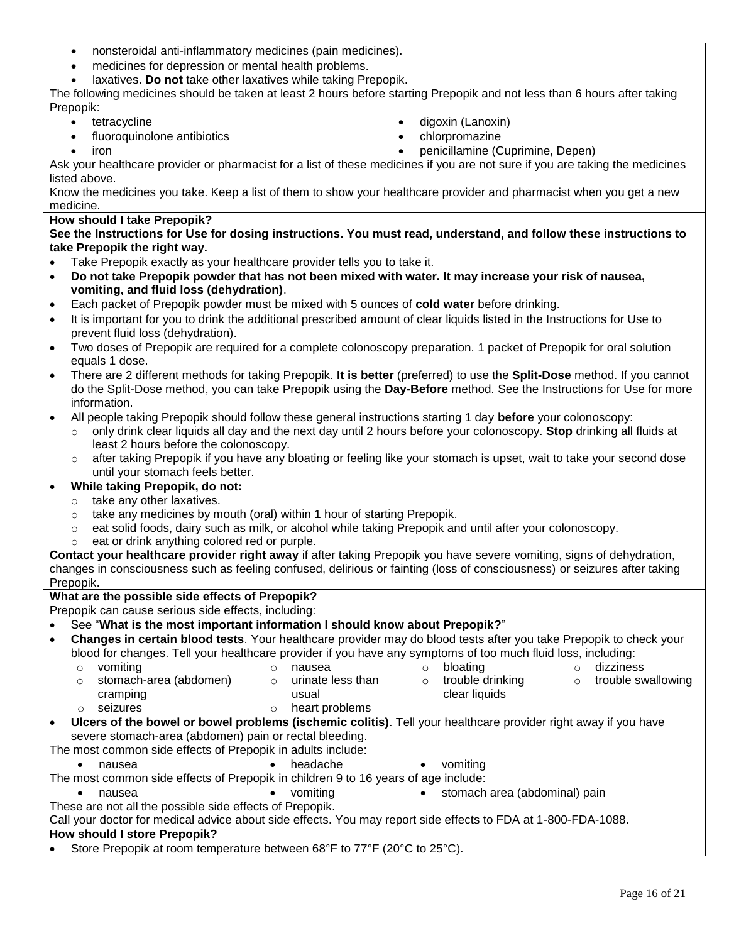- nonsteroidal anti-inflammatory medicines (pain medicines).
- medicines for depression or mental health problems.
- laxatives. **Do not** take other laxatives while taking Prepopik.

The following medicines should be taken at least 2 hours before starting Prepopik and not less than 6 hours after taking Prepopik:

- tetracycline
- fluoroquinolone antibiotics
- iron
- digoxin (Lanoxin)
- chlorpromazine
- penicillamine (Cuprimine, Depen)

Ask your healthcare provider or pharmacist for a list of these medicines if you are not sure if you are taking the medicines listed above.

Know the medicines you take. Keep a list of them to show your healthcare provider and pharmacist when you get a new medicine.

**How should I take Prepopik?**

**See the Instructions for Use for dosing instructions. You must read, understand, and follow these instructions to take Prepopik the right way.**

- Take Prepopik exactly as your healthcare provider tells you to take it.
- **Do not take Prepopik powder that has not been mixed with water. It may increase your risk of nausea, vomiting, and fluid loss (dehydration)**.
- Each packet of Prepopik powder must be mixed with 5 ounces of **cold water** before drinking.
- It is important for you to drink the additional prescribed amount of clear liquids listed in the Instructions for Use to prevent fluid loss (dehydration).
- Two doses of Prepopik are required for a complete colonoscopy preparation. 1 packet of Prepopik for oral solution equals 1 dose.
- There are 2 different methods for taking Prepopik. **It is better** (preferred) to use the **Split-Dose** method. If you cannot do the Split-Dose method, you can take Prepopik using the **Day-Before** method. See the Instructions for Use for more information.
- All people taking Prepopik should follow these general instructions starting 1 day **before** your colonoscopy:
	- o only drink clear liquids all day and the next day until 2 hours before your colonoscopy. **Stop** drinking all fluids at least 2 hours before the colonoscopy.
	- $\circ$  after taking Prepopik if you have any bloating or feeling like your stomach is upset, wait to take your second dose until your stomach feels better.

## **While taking Prepopik, do not:**

- o take any other laxatives.
- o take any medicines by mouth (oral) within 1 hour of starting Prepopik.
- o eat solid foods, dairy such as milk, or alcohol while taking Prepopik and until after your colonoscopy.
- o eat or drink anything colored red or purple.

**Contact your healthcare provider right away** if after taking Prepopik you have severe vomiting, signs of dehydration, changes in consciousness such as feeling confused, delirious or fainting (loss of consciousness) or seizures after taking Prepopik.

# **What are the possible side effects of Prepopik?**

Prepopik can cause serious side effects, including:

## See "**What is the most important information I should know about Prepopik?**"

- **Changes in certain blood tests**. Your healthcare provider may do blood tests after you take Prepopik to check your blood for changes. Tell your healthcare provider if you have any symptoms of too much fluid loss, including:
	- $\circ$  vomiting and the contract of nausea  $\circ$  bloating the dizziness o stomach-area (abdomen) cramping o urinate less than usual o trouble drinking clear liquids o trouble swallowing o seizures o heart problems
- **Ulcers of the bowel or bowel problems (ischemic colitis)**. Tell your healthcare provider right away if you have severe stomach-area (abdomen) pain or rectal bleeding.

The most common side effects of Prepopik in adults include:

- nausea headache vomiting
- The most common side effects of Prepopik in children 9 to 16 years of age include:
	- nausea **vomiting area (abdominal)** pain

These are not all the possible side effects of Prepopik.

Call your doctor for medical advice about side effects. You may report side effects to FDA at 1-800-FDA-1088.

# **How should I store Prepopik?**

Store Prepopik at room temperature between 68°F to 77°F (20°C to 25°C).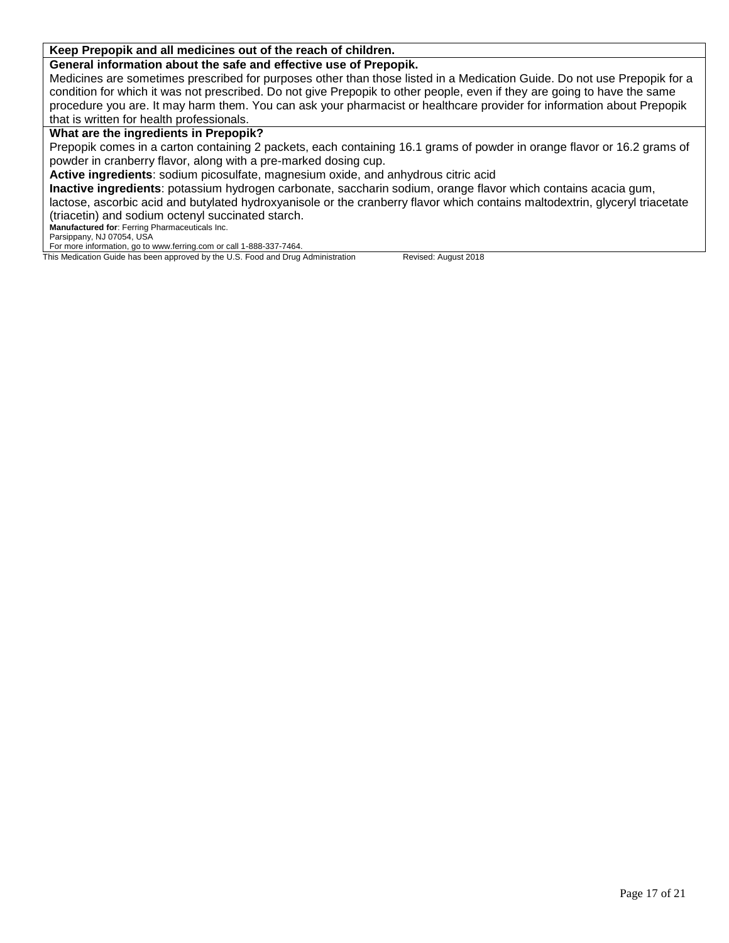## **Keep Prepopik and all medicines out of the reach of children.**

**General information about the safe and effective use of Prepopik.**

Medicines are sometimes prescribed for purposes other than those listed in a Medication Guide. Do not use Prepopik for a condition for which it was not prescribed. Do not give Prepopik to other people, even if they are going to have the same procedure you are. It may harm them. You can ask your pharmacist or healthcare provider for information about Prepopik that is written for health professionals.

## **What are the ingredients in Prepopik?**

Prepopik comes in a carton containing 2 packets, each containing 16.1 grams of powder in orange flavor or 16.2 grams of powder in cranberry flavor, along with a pre-marked dosing cup.

**Active ingredients**: sodium picosulfate, magnesium oxide, and anhydrous citric acid

**Inactive ingredients**: potassium hydrogen carbonate, saccharin sodium, orange flavor which contains acacia gum,

lactose, ascorbic acid and butylated hydroxyanisole or the cranberry flavor which contains maltodextrin, glyceryl triacetate (triacetin) and sodium octenyl succinated starch.

**Manufactured for**: Ferring Pharmaceuticals Inc.

Parsippany, NJ 07054, USA

For more information, go to www.ferring.com or call 1-888-337-7464. This Medication Guide has been approved by the U.S. Food and Drug Administration Revised: August 2018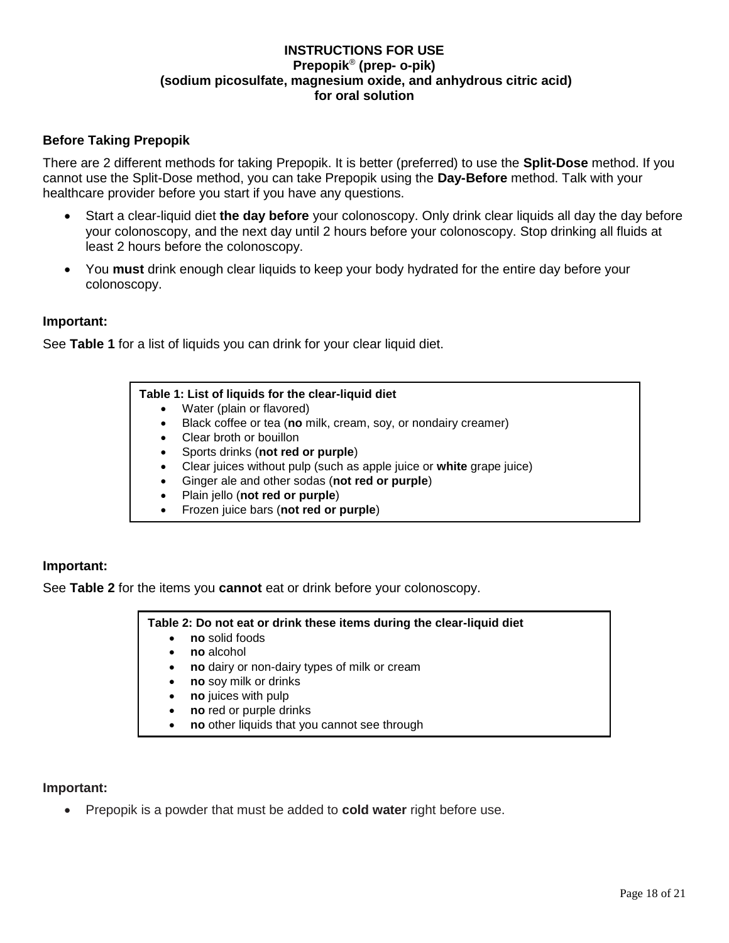# **INSTRUCTIONS FOR USE Prepopik**® **(prep- o-pik) (sodium picosulfate, magnesium oxide, and anhydrous citric acid) for oral solution**

# **Before Taking Prepopik**

There are 2 different methods for taking Prepopik. It is better (preferred) to use the **Split-Dose** method. If you cannot use the Split-Dose method, you can take Prepopik using the **Day-Before** method. Talk with your healthcare provider before you start if you have any questions.

- Start a clear-liquid diet **the day before** your colonoscopy. Only drink clear liquids all day the day before your colonoscopy, and the next day until 2 hours before your colonoscopy. Stop drinking all fluids at least 2 hours before the colonoscopy.
- You **must** drink enough clear liquids to keep your body hydrated for the entire day before your colonoscopy.

## **Important:**

See **Table 1** for a list of liquids you can drink for your clear liquid diet.

## **Table 1: List of liquids for the clear-liquid diet**

- Water (plain or flavored)
- Black coffee or tea (**no** milk, cream, soy, or nondairy creamer)
- Clear broth or bouillon
- Sports drinks (**not red or purple**)
- Clear juices without pulp (such as apple juice or **white** grape juice)
- Ginger ale and other sodas (**not red or purple**)
- Plain jello (**not red or purple**)
- Frozen juice bars (**not red or purple**)

## **Important:**

See **Table 2** for the items you **cannot** eat or drink before your colonoscopy.

## **Table 2: Do not eat or drink these items during the clear-liquid diet**

- **no** solid foods
- **no** alcohol
- **no** dairy or non-dairy types of milk or cream
- **no** soy milk or drinks
- **no** juices with pulp
- **no** red or purple drinks
- **no** other liquids that you cannot see through

## **Important:**

Prepopik is a powder that must be added to **cold water** right before use.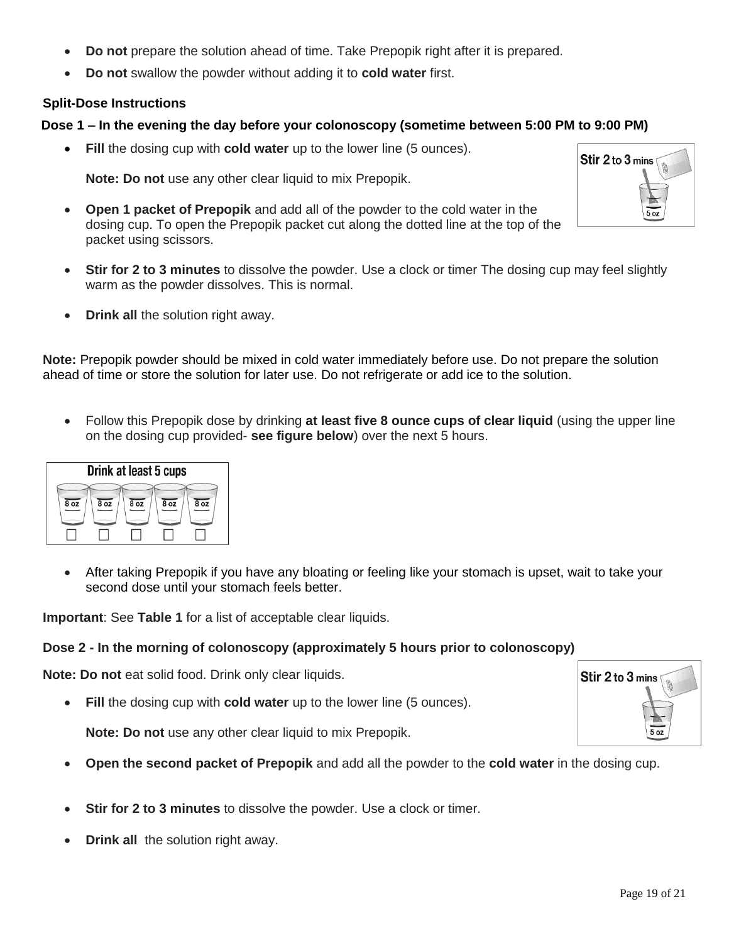- **Do not** prepare the solution ahead of time. Take Prepopik right after it is prepared.
- **Do not** swallow the powder without adding it to **cold water** first.

# **Split-Dose Instructions**

# **Dose 1 – In the evening the day before your colonoscopy (sometime between 5:00 PM to 9:00 PM)**

**Fill** the dosing cup with **cold water** up to the lower line (5 ounces).

**Note: Do not** use any other clear liquid to mix Prepopik.

- **Open 1 packet of Prepopik** and add all of the powder to the cold water in the dosing cup. To open the Prepopik packet cut along the dotted line at the top of the packet using scissors.
- **Stir for 2 to 3 minutes** to dissolve the powder. Use a clock or timer The dosing cup may feel slightly warm as the powder dissolves. This is normal.
- **Drink all the solution right away.**

**Note:** Prepopik powder should be mixed in cold water immediately before use. Do not prepare the solution ahead of time or store the solution for later use. Do not refrigerate or add ice to the solution.

 Follow this Prepopik dose by drinking **at least five 8 ounce cups of clear liquid** (using the upper line on the dosing cup provided- **see figure below**) over the next 5 hours.



 After taking Prepopik if you have any bloating or feeling like your stomach is upset, wait to take your second dose until your stomach feels better.

**Important**: See **Table 1** for a list of acceptable clear liquids.

# **Dose 2 - In the morning of colonoscopy (approximately 5 hours prior to colonoscopy)**

**Note: Do not** eat solid food. Drink only clear liquids.

**Fill** the dosing cup with **cold water** up to the lower line (5 ounces).

**Note: Do not** use any other clear liquid to mix Prepopik.

- **Open the second packet of Prepopik** and add all the powder to the **cold water** in the dosing cup.
- **Stir for 2 to 3 minutes** to dissolve the powder. Use a clock or timer.
- **Drink all** the solution right away.



Stir 2 to 3 mins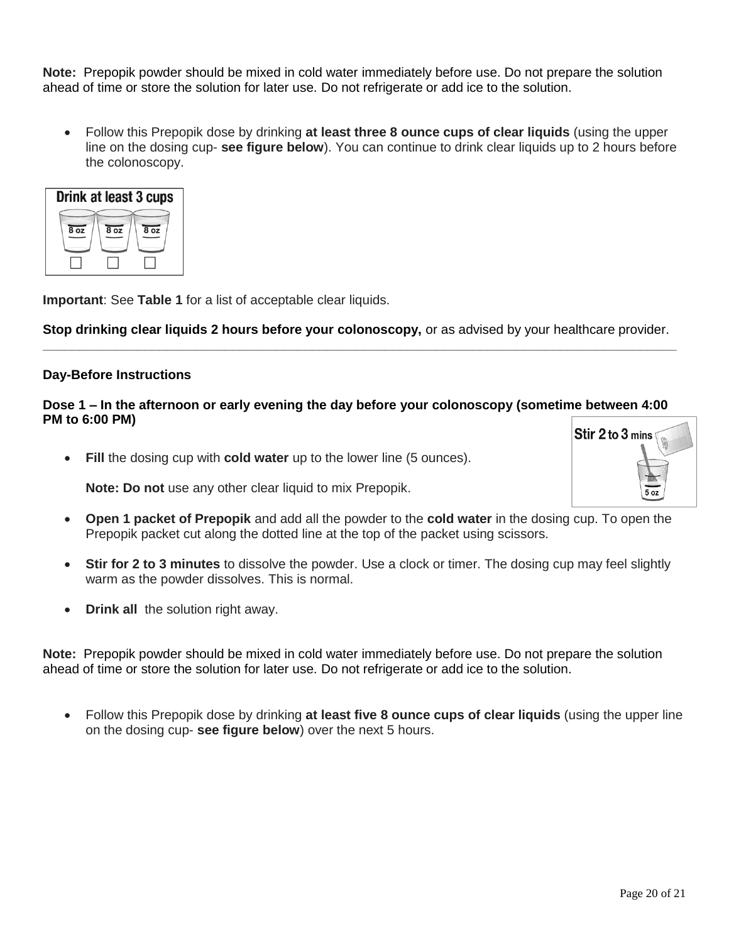**Note:** Prepopik powder should be mixed in cold water immediately before use. Do not prepare the solution ahead of time or store the solution for later use. Do not refrigerate or add ice to the solution.

 Follow this Prepopik dose by drinking **at least three 8 ounce cups of clear liquids** (using the upper line on the dosing cup- **see figure below**). You can continue to drink clear liquids up to 2 hours before the colonoscopy.



**Important**: See **Table 1** for a list of acceptable clear liquids.

**Stop drinking clear liquids 2 hours before your colonoscopy,** or as advised by your healthcare provider. **\_\_\_\_\_\_\_\_\_\_\_\_\_\_\_\_\_\_\_\_\_\_\_\_\_\_\_\_\_\_\_\_\_\_\_\_\_\_\_\_\_\_\_\_\_\_\_\_\_\_\_\_\_\_\_\_\_\_\_\_\_\_\_\_\_\_\_\_\_\_\_\_\_\_\_\_\_\_\_\_\_\_\_\_\_\_\_**

## **Day-Before Instructions**

# **Dose 1 – In the afternoon or early evening the day before your colonoscopy (sometime between 4:00 PM to 6:00 PM)**

**Fill** the dosing cup with **cold water** up to the lower line (5 ounces).

**Note: Do not** use any other clear liquid to mix Prepopik.

- **Open 1 packet of Prepopik** and add all the powder to the **cold water** in the dosing cup. To open the Prepopik packet cut along the dotted line at the top of the packet using scissors.
- **Stir for 2 to 3 minutes** to dissolve the powder. Use a clock or timer. The dosing cup may feel slightly warm as the powder dissolves. This is normal.
- **Drink all** the solution right away.

**Note:** Prepopik powder should be mixed in cold water immediately before use. Do not prepare the solution ahead of time or store the solution for later use. Do not refrigerate or add ice to the solution.

 Follow this Prepopik dose by drinking **at least five 8 ounce cups of clear liquids** (using the upper line on the dosing cup- **see figure below**) over the next 5 hours.